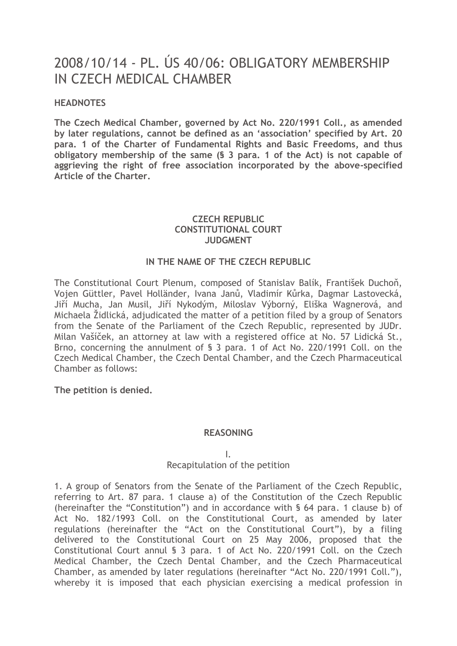# 2008/10/14 - PL. ÚS 40/06: OBLIGATORY MEMBERSHIP IN CZECH MEDICAL CHAMBER

## **HEADNOTES**

**The Czech Medical Chamber, governed by Act No. 220/1991 Coll., as amended by later regulations, cannot be defined as an 'association' specified by Art. 20 para. 1 of the Charter of Fundamental Rights and Basic Freedoms, and thus obligatory membership of the same (§ 3 para. 1 of the Act) is not capable of aggrieving the right of free association incorporated by the above-specified Article of the Charter.**

## **CZECH REPUBLIC CONSTITUTIONAL COURT JUDGMENT**

## **IN THE NAME OF THE CZECH REPUBLIC**

The Constitutional Court Plenum, composed of Stanislav Balík, František Duchoň, Vojen Güttler, Pavel Holländer, Ivana Janů, Vladimír Kůrka, Dagmar Lastovecká, Jiří Mucha, Jan Musil, Jiří Nykodým, Miloslav Výborný, Eliška Wagnerová, and Michaela Židlická, adjudicated the matter of a petition filed by a group of Senators from the Senate of the Parliament of the Czech Republic, represented by JUDr. Milan Vašíček, an attorney at law with a registered office at No. 57 Lidická St., Brno, concerning the annulment of § 3 para. 1 of Act No. 220/1991 Coll. on the Czech Medical Chamber, the Czech Dental Chamber, and the Czech Pharmaceutical Chamber as follows:

**The petition is denied.**

#### **REASONING**

I.

# Recapitulation of the petition

1. A group of Senators from the Senate of the Parliament of the Czech Republic, referring to Art. 87 para. 1 clause a) of the Constitution of the Czech Republic (hereinafter the "Constitution") and in accordance with § 64 para. 1 clause b) of Act No. 182/1993 Coll. on the Constitutional Court, as amended by later regulations (hereinafter the "Act on the Constitutional Court"), by a filing delivered to the Constitutional Court on 25 May 2006, proposed that the Constitutional Court annul § 3 para. 1 of Act No. 220/1991 Coll. on the Czech Medical Chamber, the Czech Dental Chamber, and the Czech Pharmaceutical Chamber, as amended by later regulations (hereinafter "Act No. 220/1991 Coll."), whereby it is imposed that each physician exercising a medical profession in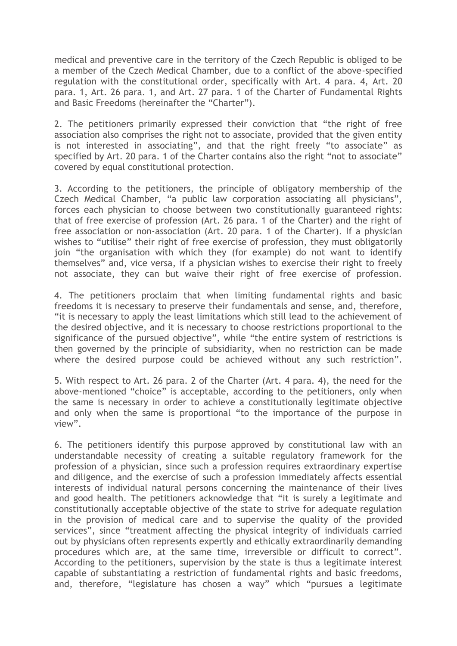medical and preventive care in the territory of the Czech Republic is obliged to be a member of the Czech Medical Chamber, due to a conflict of the above-specified regulation with the constitutional order, specifically with Art. 4 para. 4, Art. 20 para. 1, Art. 26 para. 1, and Art. 27 para. 1 of the Charter of Fundamental Rights and Basic Freedoms (hereinafter the "Charter").

2. The petitioners primarily expressed their conviction that "the right of free association also comprises the right not to associate, provided that the given entity is not interested in associating", and that the right freely "to associate" as specified by Art. 20 para. 1 of the Charter contains also the right "not to associate" covered by equal constitutional protection.

3. According to the petitioners, the principle of obligatory membership of the Czech Medical Chamber, "a public law corporation associating all physicians", forces each physician to choose between two constitutionally guaranteed rights: that of free exercise of profession (Art. 26 para. 1 of the Charter) and the right of free association or non-association (Art. 20 para. 1 of the Charter). If a physician wishes to "utilise" their right of free exercise of profession, they must obligatorily join "the organisation with which they (for example) do not want to identify themselves" and, vice versa, if a physician wishes to exercise their right to freely not associate, they can but waive their right of free exercise of profession.

4. The petitioners proclaim that when limiting fundamental rights and basic freedoms it is necessary to preserve their fundamentals and sense, and, therefore, "it is necessary to apply the least limitations which still lead to the achievement of the desired objective, and it is necessary to choose restrictions proportional to the significance of the pursued objective", while "the entire system of restrictions is then governed by the principle of subsidiarity, when no restriction can be made where the desired purpose could be achieved without any such restriction".

5. With respect to Art. 26 para. 2 of the Charter (Art. 4 para. 4), the need for the above-mentioned "choice" is acceptable, according to the petitioners, only when the same is necessary in order to achieve a constitutionally legitimate objective and only when the same is proportional "to the importance of the purpose in view".

6. The petitioners identify this purpose approved by constitutional law with an understandable necessity of creating a suitable regulatory framework for the profession of a physician, since such a profession requires extraordinary expertise and diligence, and the exercise of such a profession immediately affects essential interests of individual natural persons concerning the maintenance of their lives and good health. The petitioners acknowledge that "it is surely a legitimate and constitutionally acceptable objective of the state to strive for adequate regulation in the provision of medical care and to supervise the quality of the provided services", since "treatment affecting the physical integrity of individuals carried out by physicians often represents expertly and ethically extraordinarily demanding procedures which are, at the same time, irreversible or difficult to correct". According to the petitioners, supervision by the state is thus a legitimate interest capable of substantiating a restriction of fundamental rights and basic freedoms, and, therefore, "legislature has chosen a way" which "pursues a legitimate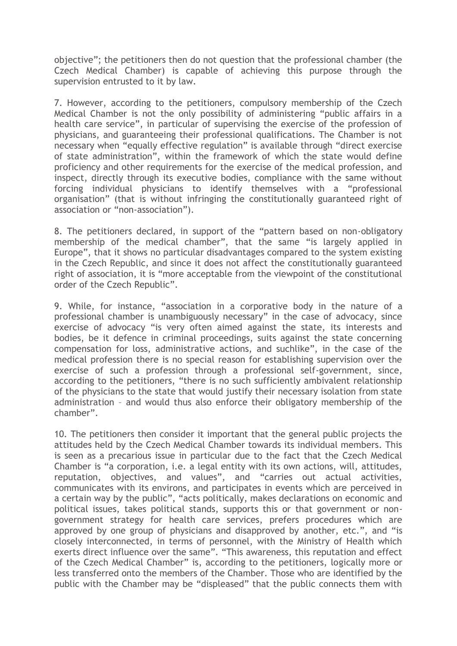objective"; the petitioners then do not question that the professional chamber (the Czech Medical Chamber) is capable of achieving this purpose through the supervision entrusted to it by law.

7. However, according to the petitioners, compulsory membership of the Czech Medical Chamber is not the only possibility of administering "public affairs in a health care service", in particular of supervising the exercise of the profession of physicians, and guaranteeing their professional qualifications. The Chamber is not necessary when "equally effective regulation" is available through "direct exercise of state administration", within the framework of which the state would define proficiency and other requirements for the exercise of the medical profession, and inspect, directly through its executive bodies, compliance with the same without forcing individual physicians to identify themselves with a "professional organisation" (that is without infringing the constitutionally guaranteed right of association or "non-association").

8. The petitioners declared, in support of the "pattern based on non-obligatory membership of the medical chamber", that the same "is largely applied in Europe", that it shows no particular disadvantages compared to the system existing in the Czech Republic, and since it does not affect the constitutionally guaranteed right of association, it is "more acceptable from the viewpoint of the constitutional order of the Czech Republic".

9. While, for instance, "association in a corporative body in the nature of a professional chamber is unambiguously necessary" in the case of advocacy, since exercise of advocacy "is very often aimed against the state, its interests and bodies, be it defence in criminal proceedings, suits against the state concerning compensation for loss, administrative actions, and suchlike", in the case of the medical profession there is no special reason for establishing supervision over the exercise of such a profession through a professional self-government, since, according to the petitioners, "there is no such sufficiently ambivalent relationship of the physicians to the state that would justify their necessary isolation from state administration – and would thus also enforce their obligatory membership of the chamber".

10. The petitioners then consider it important that the general public projects the attitudes held by the Czech Medical Chamber towards its individual members. This is seen as a precarious issue in particular due to the fact that the Czech Medical Chamber is "a corporation, i.e. a legal entity with its own actions, will, attitudes, reputation, objectives, and values", and "carries out actual activities, communicates with its environs, and participates in events which are perceived in a certain way by the public", "acts politically, makes declarations on economic and political issues, takes political stands, supports this or that government or nongovernment strategy for health care services, prefers procedures which are approved by one group of physicians and disapproved by another, etc.", and "is closely interconnected, in terms of personnel, with the Ministry of Health which exerts direct influence over the same". "This awareness, this reputation and effect of the Czech Medical Chamber" is, according to the petitioners, logically more or less transferred onto the members of the Chamber. Those who are identified by the public with the Chamber may be "displeased" that the public connects them with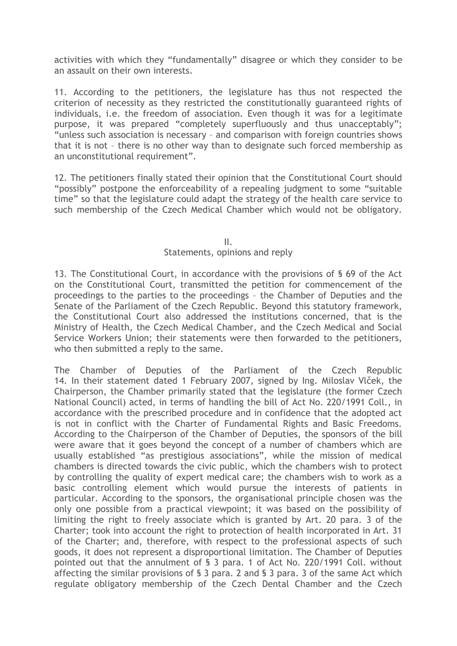activities with which they "fundamentally" disagree or which they consider to be an assault on their own interests.

11. According to the petitioners, the legislature has thus not respected the criterion of necessity as they restricted the constitutionally guaranteed rights of individuals, i.e. the freedom of association. Even though it was for a legitimate purpose, it was prepared "completely superfluously and thus unacceptably"; "unless such association is necessary – and comparison with foreign countries shows that it is not – there is no other way than to designate such forced membership as an unconstitutional requirement".

12. The petitioners finally stated their opinion that the Constitutional Court should "possibly" postpone the enforceability of a repealing judgment to some "suitable time" so that the legislature could adapt the strategy of the health care service to such membership of the Czech Medical Chamber which would not be obligatory.

#### II.

#### Statements, opinions and reply

13. The Constitutional Court, in accordance with the provisions of § 69 of the Act on the Constitutional Court, transmitted the petition for commencement of the proceedings to the parties to the proceedings – the Chamber of Deputies and the Senate of the Parliament of the Czech Republic. Beyond this statutory framework, the Constitutional Court also addressed the institutions concerned, that is the Ministry of Health, the Czech Medical Chamber, and the Czech Medical and Social Service Workers Union; their statements were then forwarded to the petitioners, who then submitted a reply to the same.

The Chamber of Deputies of the Parliament of the Czech Republic 14. In their statement dated 1 February 2007, signed by Ing. Miloslav Vlček, the Chairperson, the Chamber primarily stated that the legislature (the former Czech National Council) acted, in terms of handling the bill of Act No. 220/1991 Coll., in accordance with the prescribed procedure and in confidence that the adopted act is not in conflict with the Charter of Fundamental Rights and Basic Freedoms. According to the Chairperson of the Chamber of Deputies, the sponsors of the bill were aware that it goes beyond the concept of a number of chambers which are usually established "as prestigious associations", while the mission of medical chambers is directed towards the civic public, which the chambers wish to protect by controlling the quality of expert medical care; the chambers wish to work as a basic controlling element which would pursue the interests of patients in particular. According to the sponsors, the organisational principle chosen was the only one possible from a practical viewpoint; it was based on the possibility of limiting the right to freely associate which is granted by Art. 20 para. 3 of the Charter; took into account the right to protection of health incorporated in Art. 31 of the Charter; and, therefore, with respect to the professional aspects of such goods, it does not represent a disproportional limitation. The Chamber of Deputies pointed out that the annulment of § 3 para. 1 of Act No. 220/1991 Coll. without affecting the similar provisions of § 3 para. 2 and § 3 para. 3 of the same Act which regulate obligatory membership of the Czech Dental Chamber and the Czech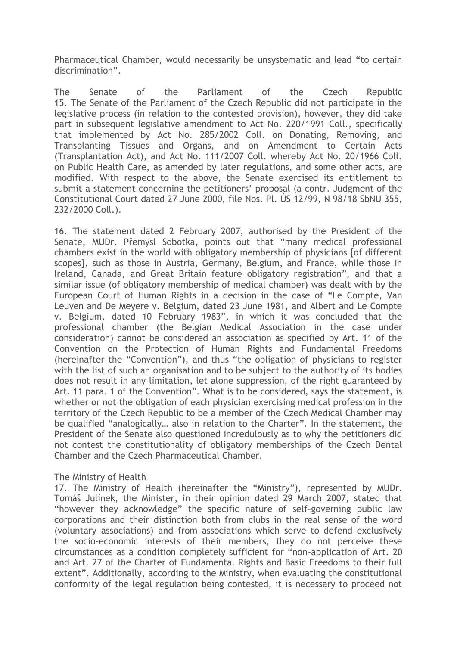Pharmaceutical Chamber, would necessarily be unsystematic and lead "to certain discrimination".

The Senate of the Parliament of the Czech Republic 15. The Senate of the Parliament of the Czech Republic did not participate in the legislative process (in relation to the contested provision), however, they did take part in subsequent legislative amendment to Act No. 220/1991 Coll., specifically that implemented by Act No. 285/2002 Coll. on Donating, Removing, and Transplanting Tissues and Organs, and on Amendment to Certain Acts (Transplantation Act), and Act No. 111/2007 Coll. whereby Act No. 20/1966 Coll. on Public Health Care, as amended by later regulations, and some other acts, are modified. With respect to the above, the Senate exercised its entitlement to submit a statement concerning the petitioners' proposal (a contr. Judgment of the Constitutional Court dated 27 June 2000, file Nos. Pl. ÚS 12/99, N 98/18 SbNU 355, 232/2000 Coll.).

16. The statement dated 2 February 2007, authorised by the President of the Senate, MUDr. Přemysl Sobotka, points out that "many medical professional chambers exist in the world with obligatory membership of physicians [of different scopes], such as those in Austria, Germany, Belgium, and France, while those in Ireland, Canada, and Great Britain feature obligatory registration", and that a similar issue (of obligatory membership of medical chamber) was dealt with by the European Court of Human Rights in a decision in the case of "Le Compte, Van Leuven and De Meyere v. Belgium, dated 23 June 1981, and Albert and Le Compte v. Belgium, dated 10 February 1983", in which it was concluded that the professional chamber (the Belgian Medical Association in the case under consideration) cannot be considered an association as specified by Art. 11 of the Convention on the Protection of Human Rights and Fundamental Freedoms (hereinafter the "Convention"), and thus "the obligation of physicians to register with the list of such an organisation and to be subject to the authority of its bodies does not result in any limitation, let alone suppression, of the right guaranteed by Art. 11 para. 1 of the Convention". What is to be considered, says the statement, is whether or not the obligation of each physician exercising medical profession in the territory of the Czech Republic to be a member of the Czech Medical Chamber may be qualified "analogically… also in relation to the Charter". In the statement, the President of the Senate also questioned incredulously as to why the petitioners did not contest the constitutionality of obligatory memberships of the Czech Dental Chamber and the Czech Pharmaceutical Chamber.

#### The Ministry of Health

17. The Ministry of Health (hereinafter the "Ministry"), represented by MUDr. Tomáš Julínek, the Minister, in their opinion dated 29 March 2007, stated that "however they acknowledge" the specific nature of self-governing public law corporations and their distinction both from clubs in the real sense of the word (voluntary associations) and from associations which serve to defend exclusively the socio-economic interests of their members, they do not perceive these circumstances as a condition completely sufficient for "non-application of Art. 20 and Art. 27 of the Charter of Fundamental Rights and Basic Freedoms to their full extent". Additionally, according to the Ministry, when evaluating the constitutional conformity of the legal regulation being contested, it is necessary to proceed not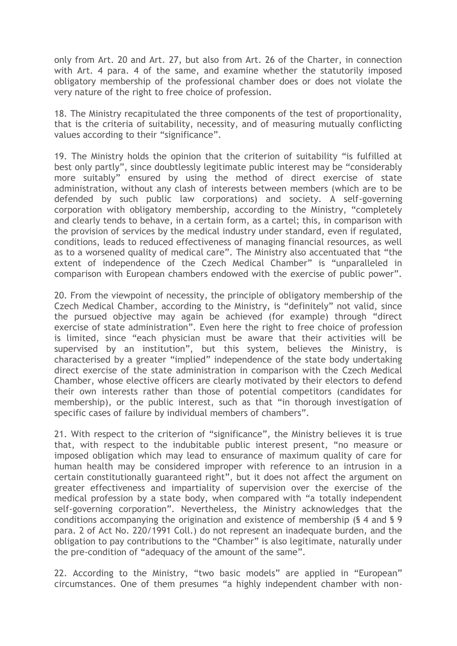only from Art. 20 and Art. 27, but also from Art. 26 of the Charter, in connection with Art. 4 para. 4 of the same, and examine whether the statutorily imposed obligatory membership of the professional chamber does or does not violate the very nature of the right to free choice of profession.

18. The Ministry recapitulated the three components of the test of proportionality, that is the criteria of suitability, necessity, and of measuring mutually conflicting values according to their "significance".

19. The Ministry holds the opinion that the criterion of suitability "is fulfilled at best only partly", since doubtlessly legitimate public interest may be "considerably more suitably" ensured by using the method of direct exercise of state administration, without any clash of interests between members (which are to be defended by such public law corporations) and society. A self-governing corporation with obligatory membership, according to the Ministry, "completely and clearly tends to behave, in a certain form, as a cartel; this, in comparison with the provision of services by the medical industry under standard, even if regulated, conditions, leads to reduced effectiveness of managing financial resources, as well as to a worsened quality of medical care". The Ministry also accentuated that "the extent of independence of the Czech Medical Chamber" is "unparalleled in comparison with European chambers endowed with the exercise of public power".

20. From the viewpoint of necessity, the principle of obligatory membership of the Czech Medical Chamber, according to the Ministry, is "definitely" not valid, since the pursued objective may again be achieved (for example) through "direct exercise of state administration". Even here the right to free choice of profession is limited, since "each physician must be aware that their activities will be supervised by an institution", but this system, believes the Ministry, is characterised by a greater "implied" independence of the state body undertaking direct exercise of the state administration in comparison with the Czech Medical Chamber, whose elective officers are clearly motivated by their electors to defend their own interests rather than those of potential competitors (candidates for membership), or the public interest, such as that "in thorough investigation of specific cases of failure by individual members of chambers".

21. With respect to the criterion of "significance", the Ministry believes it is true that, with respect to the indubitable public interest present, "no measure or imposed obligation which may lead to ensurance of maximum quality of care for human health may be considered improper with reference to an intrusion in a certain constitutionally guaranteed right", but it does not affect the argument on greater effectiveness and impartiality of supervision over the exercise of the medical profession by a state body, when compared with "a totally independent self-governing corporation". Nevertheless, the Ministry acknowledges that the conditions accompanying the origination and existence of membership (§ 4 and § 9 para. 2 of Act No. 220/1991 Coll.) do not represent an inadequate burden, and the obligation to pay contributions to the "Chamber" is also legitimate, naturally under the pre-condition of "adequacy of the amount of the same".

22. According to the Ministry, "two basic models" are applied in "European" circumstances. One of them presumes "a highly independent chamber with non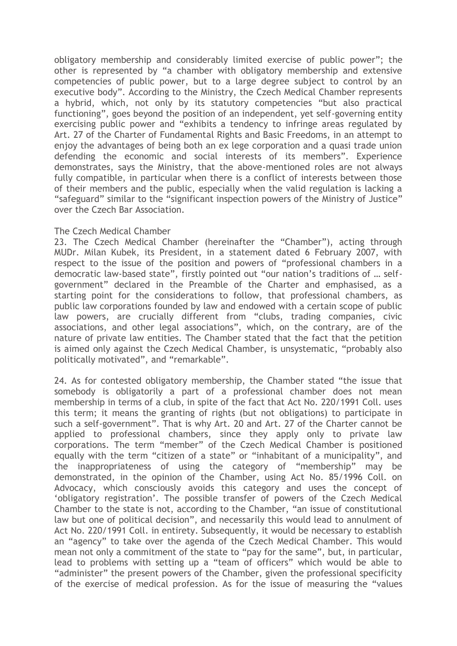obligatory membership and considerably limited exercise of public power"; the other is represented by "a chamber with obligatory membership and extensive competencies of public power, but to a large degree subject to control by an executive body". According to the Ministry, the Czech Medical Chamber represents a hybrid, which, not only by its statutory competencies "but also practical functioning", goes beyond the position of an independent, yet self-governing entity exercising public power and "exhibits a tendency to infringe areas regulated by Art. 27 of the Charter of Fundamental Rights and Basic Freedoms, in an attempt to enjoy the advantages of being both an ex lege corporation and a quasi trade union defending the economic and social interests of its members". Experience demonstrates, says the Ministry, that the above-mentioned roles are not always fully compatible, in particular when there is a conflict of interests between those of their members and the public, especially when the valid regulation is lacking a "safeguard" similar to the "significant inspection powers of the Ministry of Justice" over the Czech Bar Association.

## The Czech Medical Chamber

23. The Czech Medical Chamber (hereinafter the "Chamber"), acting through MUDr. Milan Kubek, its President, in a statement dated 6 February 2007, with respect to the issue of the position and powers of "professional chambers in a democratic law-based state", firstly pointed out "our nation's traditions of … selfgovernment" declared in the Preamble of the Charter and emphasised, as a starting point for the considerations to follow, that professional chambers, as public law corporations founded by law and endowed with a certain scope of public law powers, are crucially different from "clubs, trading companies, civic associations, and other legal associations", which, on the contrary, are of the nature of private law entities. The Chamber stated that the fact that the petition is aimed only against the Czech Medical Chamber, is unsystematic, "probably also politically motivated", and "remarkable".

24. As for contested obligatory membership, the Chamber stated "the issue that somebody is obligatorily a part of a professional chamber does not mean membership in terms of a club, in spite of the fact that Act No. 220/1991 Coll. uses this term; it means the granting of rights (but not obligations) to participate in such a self-government". That is why Art. 20 and Art. 27 of the Charter cannot be applied to professional chambers, since they apply only to private law corporations. The term "member" of the Czech Medical Chamber is positioned equally with the term "citizen of a state" or "inhabitant of a municipality", and the inappropriateness of using the category of "membership" may be demonstrated, in the opinion of the Chamber, using Act No. 85/1996 Coll. on Advocacy, which consciously avoids this category and uses the concept of 'obligatory registration'. The possible transfer of powers of the Czech Medical Chamber to the state is not, according to the Chamber, "an issue of constitutional law but one of political decision", and necessarily this would lead to annulment of Act No. 220/1991 Coll. in entirety. Subsequently, it would be necessary to establish an "agency" to take over the agenda of the Czech Medical Chamber. This would mean not only a commitment of the state to "pay for the same", but, in particular, lead to problems with setting up a "team of officers" which would be able to "administer" the present powers of the Chamber, given the professional specificity of the exercise of medical profession. As for the issue of measuring the "values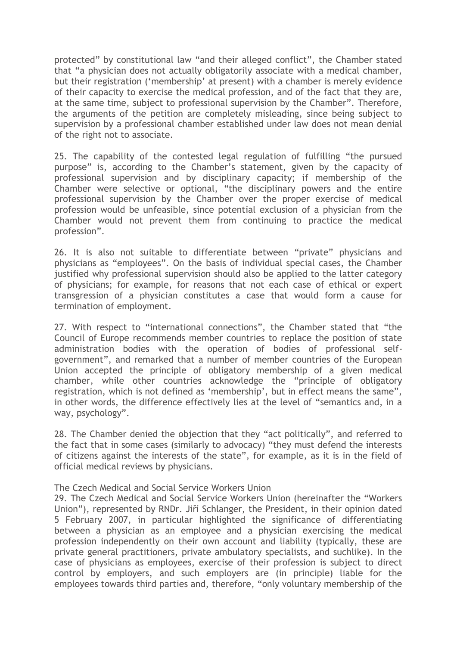protected" by constitutional law "and their alleged conflict", the Chamber stated that "a physician does not actually obligatorily associate with a medical chamber, but their registration ('membership' at present) with a chamber is merely evidence of their capacity to exercise the medical profession, and of the fact that they are, at the same time, subject to professional supervision by the Chamber". Therefore, the arguments of the petition are completely misleading, since being subject to supervision by a professional chamber established under law does not mean denial of the right not to associate.

25. The capability of the contested legal regulation of fulfilling "the pursued purpose" is, according to the Chamber's statement, given by the capacity of professional supervision and by disciplinary capacity; if membership of the Chamber were selective or optional, "the disciplinary powers and the entire professional supervision by the Chamber over the proper exercise of medical profession would be unfeasible, since potential exclusion of a physician from the Chamber would not prevent them from continuing to practice the medical profession".

26. It is also not suitable to differentiate between "private" physicians and physicians as "employees". On the basis of individual special cases, the Chamber justified why professional supervision should also be applied to the latter category of physicians; for example, for reasons that not each case of ethical or expert transgression of a physician constitutes a case that would form a cause for termination of employment.

27. With respect to "international connections", the Chamber stated that "the Council of Europe recommends member countries to replace the position of state administration bodies with the operation of bodies of professional selfgovernment", and remarked that a number of member countries of the European Union accepted the principle of obligatory membership of a given medical chamber, while other countries acknowledge the "principle of obligatory registration, which is not defined as 'membership', but in effect means the same", in other words, the difference effectively lies at the level of "semantics and, in a way, psychology".

28. The Chamber denied the objection that they "act politically", and referred to the fact that in some cases (similarly to advocacy) "they must defend the interests of citizens against the interests of the state", for example, as it is in the field of official medical reviews by physicians.

#### The Czech Medical and Social Service Workers Union

29. The Czech Medical and Social Service Workers Union (hereinafter the "Workers Union"), represented by RNDr. Jiří Schlanger, the President, in their opinion dated 5 February 2007, in particular highlighted the significance of differentiating between a physician as an employee and a physician exercising the medical profession independently on their own account and liability (typically, these are private general practitioners, private ambulatory specialists, and suchlike). In the case of physicians as employees, exercise of their profession is subject to direct control by employers, and such employers are (in principle) liable for the employees towards third parties and, therefore, "only voluntary membership of the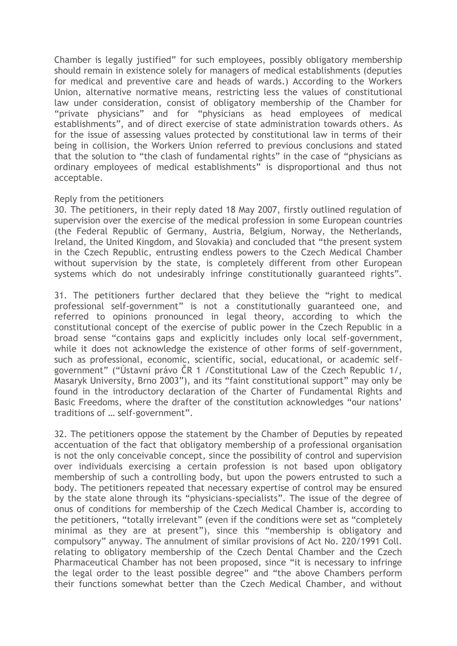Chamber is legally justified" for such employees, possibly obligatory membership should remain in existence solely for managers of medical establishments (deputies for medical and preventive care and heads of wards.) According to the Workers Union, alternative normative means, restricting less the values of constitutional law under consideration, consist of obligatory membership of the Chamber for "private physicians" and for "physicians as head employees of medical establishments", and of direct exercise of state administration towards others. As for the issue of assessing values protected by constitutional law in terms of their being in collision, the Workers Union referred to previous conclusions and stated that the solution to "the clash of fundamental rights" in the case of "physicians as ordinary employees of medical establishments" is disproportional and thus not acceptable.

#### Reply from the petitioners

30. The petitioners, in their reply dated 18 May 2007, firstly outlined regulation of supervision over the exercise of the medical profession in some European countries (the Federal Republic of Germany, Austria, Belgium, Norway, the Netherlands, Ireland, the United Kingdom, and Slovakia) and concluded that "the present system in the Czech Republic, entrusting endless powers to the Czech Medical Chamber without supervision by the state, is completely different from other European systems which do not undesirably infringe constitutionally guaranteed rights".

31. The petitioners further declared that they believe the "right to medical professional self-government" is not a constitutionally guaranteed one, and referred to opinions pronounced in legal theory, according to which the constitutional concept of the exercise of public power in the Czech Republic in a broad sense "contains gaps and explicitly includes only local self-government, while it does not acknowledge the existence of other forms of self-government, such as professional, economic, scientific, social, educational, or academic selfgovernment" ("Ústavní právo ČR 1 /Constitutional Law of the Czech Republic 1/, Masaryk University, Brno 2003"), and its "faint constitutional support" may only be found in the introductory declaration of the Charter of Fundamental Rights and Basic Freedoms, where the drafter of the constitution acknowledges "our nations' traditions of … self-government".

32. The petitioners oppose the statement by the Chamber of Deputies by repeated accentuation of the fact that obligatory membership of a professional organisation is not the only conceivable concept, since the possibility of control and supervision over individuals exercising a certain profession is not based upon obligatory membership of such a controlling body, but upon the powers entrusted to such a body. The petitioners repeated that necessary expertise of control may be ensured by the state alone through its "physicians-specialists". The issue of the degree of onus of conditions for membership of the Czech Medical Chamber is, according to the petitioners, "totally irrelevant" (even if the conditions were set as "completely minimal as they are at present"), since this "membership is obligatory and compulsory" anyway. The annulment of similar provisions of Act No. 220/1991 Coll. relating to obligatory membership of the Czech Dental Chamber and the Czech Pharmaceutical Chamber has not been proposed, since "it is necessary to infringe the legal order to the least possible degree" and "the above Chambers perform their functions somewhat better than the Czech Medical Chamber, and without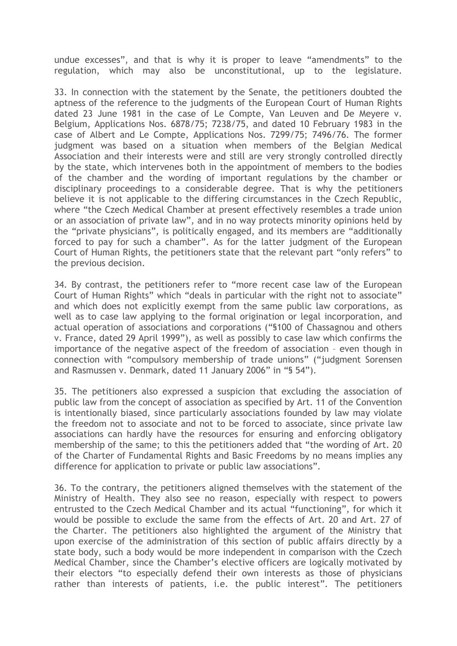undue excesses", and that is why it is proper to leave "amendments" to the regulation, which may also be unconstitutional, up to the legislature.

33. In connection with the statement by the Senate, the petitioners doubted the aptness of the reference to the judgments of the European Court of Human Rights dated 23 June 1981 in the case of Le Compte, Van Leuven and De Meyere v. Belgium, Applications Nos. 6878/75; 7238/75, and dated 10 February 1983 in the case of Albert and Le Compte, Applications Nos. 7299/75; 7496/76. The former judgment was based on a situation when members of the Belgian Medical Association and their interests were and still are very strongly controlled directly by the state, which intervenes both in the appointment of members to the bodies of the chamber and the wording of important regulations by the chamber or disciplinary proceedings to a considerable degree. That is why the petitioners believe it is not applicable to the differing circumstances in the Czech Republic, where "the Czech Medical Chamber at present effectively resembles a trade union or an association of private law", and in no way protects minority opinions held by the "private physicians", is politically engaged, and its members are "additionally forced to pay for such a chamber". As for the latter judgment of the European Court of Human Rights, the petitioners state that the relevant part "only refers" to the previous decision.

34. By contrast, the petitioners refer to "more recent case law of the European Court of Human Rights" which "deals in particular with the right not to associate" and which does not explicitly exempt from the same public law corporations, as well as to case law applying to the formal origination or legal incorporation, and actual operation of associations and corporations ("§100 of Chassagnou and others v. France, dated 29 April 1999"), as well as possibly to case law which confirms the importance of the negative aspect of the freedom of association – even though in connection with "compulsory membership of trade unions" ("judgment Sorensen and Rasmussen v. Denmark, dated 11 January 2006" in "§ 54").

35. The petitioners also expressed a suspicion that excluding the association of public law from the concept of association as specified by Art. 11 of the Convention is intentionally biased, since particularly associations founded by law may violate the freedom not to associate and not to be forced to associate, since private law associations can hardly have the resources for ensuring and enforcing obligatory membership of the same; to this the petitioners added that "the wording of Art. 20 of the Charter of Fundamental Rights and Basic Freedoms by no means implies any difference for application to private or public law associations".

36. To the contrary, the petitioners aligned themselves with the statement of the Ministry of Health. They also see no reason, especially with respect to powers entrusted to the Czech Medical Chamber and its actual "functioning", for which it would be possible to exclude the same from the effects of Art. 20 and Art. 27 of the Charter. The petitioners also highlighted the argument of the Ministry that upon exercise of the administration of this section of public affairs directly by a state body, such a body would be more independent in comparison with the Czech Medical Chamber, since the Chamber's elective officers are logically motivated by their electors "to especially defend their own interests as those of physicians rather than interests of patients, i.e. the public interest". The petitioners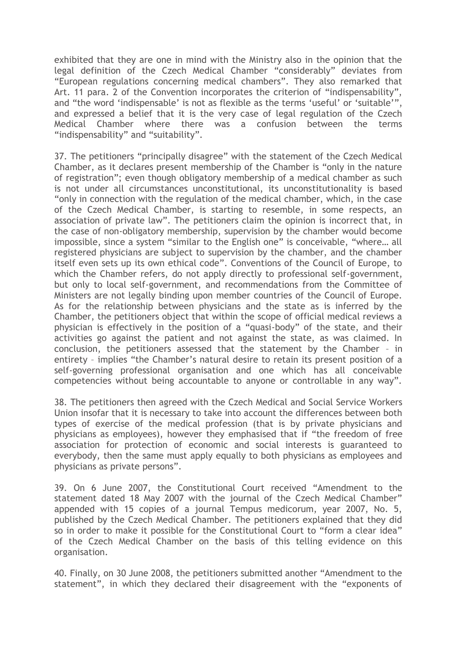exhibited that they are one in mind with the Ministry also in the opinion that the legal definition of the Czech Medical Chamber "considerably" deviates from "European regulations concerning medical chambers". They also remarked that Art. 11 para. 2 of the Convention incorporates the criterion of "indispensability", and "the word 'indispensable' is not as flexible as the terms 'useful' or 'suitable' and expressed a belief that it is the very case of legal regulation of the Czech Medical Chamber where there was a confusion between the terms "indispensability" and "suitability".

37. The petitioners "principally disagree" with the statement of the Czech Medical Chamber, as it declares present membership of the Chamber is "only in the nature of registration"; even though obligatory membership of a medical chamber as such is not under all circumstances unconstitutional, its unconstitutionality is based "only in connection with the regulation of the medical chamber, which, in the case of the Czech Medical Chamber, is starting to resemble, in some respects, an association of private law". The petitioners claim the opinion is incorrect that, in the case of non-obligatory membership, supervision by the chamber would become impossible, since a system "similar to the English one" is conceivable, "where… all registered physicians are subject to supervision by the chamber, and the chamber itself even sets up its own ethical code". Conventions of the Council of Europe, to which the Chamber refers, do not apply directly to professional self-government, but only to local self-government, and recommendations from the Committee of Ministers are not legally binding upon member countries of the Council of Europe. As for the relationship between physicians and the state as is inferred by the Chamber, the petitioners object that within the scope of official medical reviews a physician is effectively in the position of a "quasi-body" of the state, and their activities go against the patient and not against the state, as was claimed. In conclusion, the petitioners assessed that the statement by the Chamber – in entirety – implies "the Chamber's natural desire to retain its present position of a self-governing professional organisation and one which has all conceivable competencies without being accountable to anyone or controllable in any way".

38. The petitioners then agreed with the Czech Medical and Social Service Workers Union insofar that it is necessary to take into account the differences between both types of exercise of the medical profession (that is by private physicians and physicians as employees), however they emphasised that if "the freedom of free association for protection of economic and social interests is guaranteed to everybody, then the same must apply equally to both physicians as employees and physicians as private persons".

39. On 6 June 2007, the Constitutional Court received "Amendment to the statement dated 18 May 2007 with the journal of the Czech Medical Chamber" appended with 15 copies of a journal Tempus medicorum, year 2007, No. 5, published by the Czech Medical Chamber. The petitioners explained that they did so in order to make it possible for the Constitutional Court to "form a clear idea" of the Czech Medical Chamber on the basis of this telling evidence on this organisation.

40. Finally, on 30 June 2008, the petitioners submitted another "Amendment to the statement", in which they declared their disagreement with the "exponents of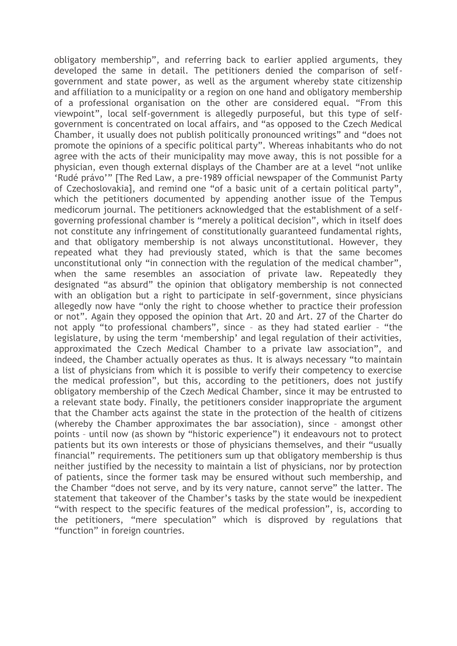obligatory membership", and referring back to earlier applied arguments, they developed the same in detail. The petitioners denied the comparison of selfgovernment and state power, as well as the argument whereby state citizenship and affiliation to a municipality or a region on one hand and obligatory membership of a professional organisation on the other are considered equal. "From this viewpoint", local self-government is allegedly purposeful, but this type of selfgovernment is concentrated on local affairs, and "as opposed to the Czech Medical Chamber, it usually does not publish politically pronounced writings" and "does not promote the opinions of a specific political party". Whereas inhabitants who do not agree with the acts of their municipality may move away, this is not possible for a physician, even though external displays of the Chamber are at a level "not unlike 'Rudé právo'" [The Red Law, a pre-1989 official newspaper of the Communist Party of Czechoslovakia], and remind one "of a basic unit of a certain political party", which the petitioners documented by appending another issue of the Tempus medicorum journal. The petitioners acknowledged that the establishment of a selfgoverning professional chamber is "merely a political decision", which in itself does not constitute any infringement of constitutionally guaranteed fundamental rights, and that obligatory membership is not always unconstitutional. However, they repeated what they had previously stated, which is that the same becomes unconstitutional only "in connection with the regulation of the medical chamber", when the same resembles an association of private law. Repeatedly they designated "as absurd" the opinion that obligatory membership is not connected with an obligation but a right to participate in self-government, since physicians allegedly now have "only the right to choose whether to practice their profession or not". Again they opposed the opinion that Art. 20 and Art. 27 of the Charter do not apply "to professional chambers", since – as they had stated earlier – "the legislature, by using the term 'membership' and legal regulation of their activities, approximated the Czech Medical Chamber to a private law association", and indeed, the Chamber actually operates as thus. It is always necessary "to maintain a list of physicians from which it is possible to verify their competency to exercise the medical profession", but this, according to the petitioners, does not justify obligatory membership of the Czech Medical Chamber, since it may be entrusted to a relevant state body. Finally, the petitioners consider inappropriate the argument that the Chamber acts against the state in the protection of the health of citizens (whereby the Chamber approximates the bar association), since – amongst other points – until now (as shown by "historic experience") it endeavours not to protect patients but its own interests or those of physicians themselves, and their "usually financial" requirements. The petitioners sum up that obligatory membership is thus neither justified by the necessity to maintain a list of physicians, nor by protection of patients, since the former task may be ensured without such membership, and the Chamber "does not serve, and by its very nature, cannot serve" the latter. The statement that takeover of the Chamber's tasks by the state would be inexpedient "with respect to the specific features of the medical profession", is, according to the petitioners, "mere speculation" which is disproved by regulations that "function" in foreign countries.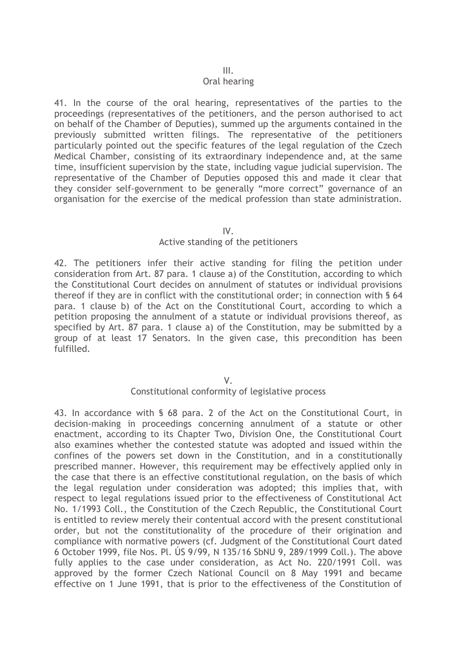#### III.

#### Oral hearing

41. In the course of the oral hearing, representatives of the parties to the proceedings (representatives of the petitioners, and the person authorised to act on behalf of the Chamber of Deputies), summed up the arguments contained in the previously submitted written filings. The representative of the petitioners particularly pointed out the specific features of the legal regulation of the Czech Medical Chamber, consisting of its extraordinary independence and, at the same time, insufficient supervision by the state, including vague judicial supervision. The representative of the Chamber of Deputies opposed this and made it clear that they consider self-government to be generally "more correct" governance of an organisation for the exercise of the medical profession than state administration.

#### IV.

#### Active standing of the petitioners

42. The petitioners infer their active standing for filing the petition under consideration from Art. 87 para. 1 clause a) of the Constitution, according to which the Constitutional Court decides on annulment of statutes or individual provisions thereof if they are in conflict with the constitutional order; in connection with § 64 para. 1 clause b) of the Act on the Constitutional Court, according to which a petition proposing the annulment of a statute or individual provisions thereof, as specified by Art. 87 para. 1 clause a) of the Constitution, may be submitted by a group of at least 17 Senators. In the given case, this precondition has been fulfilled.

V.

## Constitutional conformity of legislative process

43. In accordance with § 68 para. 2 of the Act on the Constitutional Court, in decision-making in proceedings concerning annulment of a statute or other enactment, according to its Chapter Two, Division One, the Constitutional Court also examines whether the contested statute was adopted and issued within the confines of the powers set down in the Constitution, and in a constitutionally prescribed manner. However, this requirement may be effectively applied only in the case that there is an effective constitutional regulation, on the basis of which the legal regulation under consideration was adopted; this implies that, with respect to legal regulations issued prior to the effectiveness of Constitutional Act No. 1/1993 Coll., the Constitution of the Czech Republic, the Constitutional Court is entitled to review merely their contentual accord with the present constitutional order, but not the constitutionality of the procedure of their origination and compliance with normative powers (cf. Judgment of the Constitutional Court dated 6 October 1999, file Nos. Pl. ÚS 9/99, N 135/16 SbNU 9, 289/1999 Coll.). The above fully applies to the case under consideration, as Act No. 220/1991 Coll. was approved by the former Czech National Council on 8 May 1991 and became effective on 1 June 1991, that is prior to the effectiveness of the Constitution of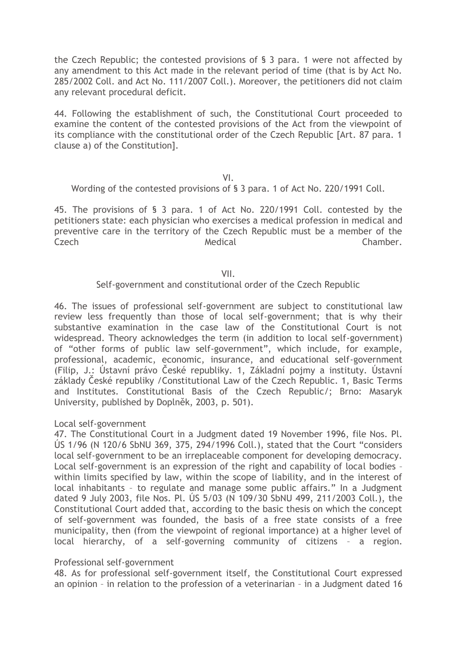the Czech Republic; the contested provisions of § 3 para. 1 were not affected by any amendment to this Act made in the relevant period of time (that is by Act No. 285/2002 Coll. and Act No. 111/2007 Coll.). Moreover, the petitioners did not claim any relevant procedural deficit.

44. Following the establishment of such, the Constitutional Court proceeded to examine the content of the contested provisions of the Act from the viewpoint of its compliance with the constitutional order of the Czech Republic [Art. 87 para. 1 clause a) of the Constitution].

#### VI.

Wording of the contested provisions of § 3 para. 1 of Act No. 220/1991 Coll.

45. The provisions of § 3 para. 1 of Act No. 220/1991 Coll. contested by the petitioners state: each physician who exercises a medical profession in medical and preventive care in the territory of the Czech Republic must be a member of the Czech Medical Medical Chamber.

#### VII.

#### Self-government and constitutional order of the Czech Republic

46. The issues of professional self-government are subject to constitutional law review less frequently than those of local self-government; that is why their substantive examination in the case law of the Constitutional Court is not widespread. Theory acknowledges the term (in addition to local self-government) of "other forms of public law self-government", which include, for example, professional, academic, economic, insurance, and educational self-government (Filip, J.: Ústavní právo České republiky. 1, Základní pojmy a instituty. Ústavní základy České republiky /Constitutional Law of the Czech Republic. 1, Basic Terms and Institutes. Constitutional Basis of the Czech Republic/; Brno: Masaryk University, published by Doplněk, 2003, p. 501).

Local self-government

47. The Constitutional Court in a Judgment dated 19 November 1996, file Nos. Pl. ÚS 1/96 (N 120/6 SbNU 369, 375, 294/1996 Coll.), stated that the Court "considers local self-government to be an irreplaceable component for developing democracy. Local self-government is an expression of the right and capability of local bodies – within limits specified by law, within the scope of liability, and in the interest of local inhabitants – to regulate and manage some public affairs." In a Judgment dated 9 July 2003, file Nos. Pl. ÚS 5/03 (N 109/30 SbNU 499, 211/2003 Coll.), the Constitutional Court added that, according to the basic thesis on which the concept of self-government was founded, the basis of a free state consists of a free municipality, then (from the viewpoint of regional importance) at a higher level of local hierarchy, of a self-governing community of citizens – a region.

#### Professional self-government

48. As for professional self-government itself, the Constitutional Court expressed an opinion – in relation to the profession of a veterinarian – in a Judgment dated 16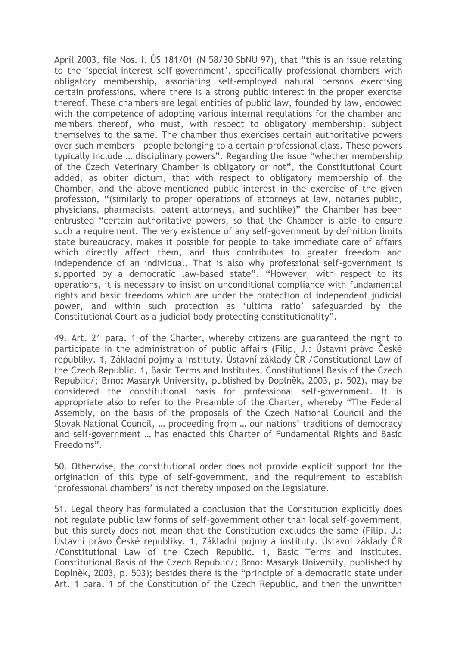April 2003, file Nos. I. ÚS 181/01 (N 58/30 SbNU 97), that "this is an issue relating to the 'special-interest self-government', specifically professional chambers with obligatory membership, associating self-employed natural persons exercising certain professions, where there is a strong public interest in the proper exercise thereof. These chambers are legal entities of public law, founded by law, endowed with the competence of adopting various internal regulations for the chamber and members thereof, who must, with respect to obligatory membership, subject themselves to the same. The chamber thus exercises certain authoritative powers over such members – people belonging to a certain professional class. These powers typically include … disciplinary powers". Regarding the issue "whether membership of the Czech Veterinary Chamber is obligatory or not", the Constitutional Court added, as obiter dictum, that with respect to obligatory membership of the Chamber, and the above-mentioned public interest in the exercise of the given profession, "(similarly to proper operations of attorneys at law, notaries public, physicians, pharmacists, patent attorneys, and suchlike)" the Chamber has been entrusted "certain authoritative powers, so that the Chamber is able to ensure such a requirement. The very existence of any self-government by definition limits state bureaucracy, makes it possible for people to take immediate care of affairs which directly affect them, and thus contributes to greater freedom and independence of an individual. That is also why professional self-government is supported by a democratic law-based state". "However, with respect to its operations, it is necessary to insist on unconditional compliance with fundamental rights and basic freedoms which are under the protection of independent judicial power, and within such protection as 'ultima ratio' safeguarded by the Constitutional Court as a judicial body protecting constitutionality".

49. Art. 21 para. 1 of the Charter, whereby citizens are guaranteed the right to participate in the administration of public affairs (Filip, J.: Ústavní právo České republiky. 1, Základní pojmy a instituty. Ústavní základy ČR /Constitutional Law of the Czech Republic. 1, Basic Terms and Institutes. Constitutional Basis of the Czech Republic/; Brno: Masaryk University, published by Doplněk, 2003, p. 502), may be considered the constitutional basis for professional self-government. It is appropriate also to refer to the Preamble of the Charter, whereby "The Federal Assembly, on the basis of the proposals of the Czech National Council and the Slovak National Council, … proceeding from … our nations' traditions of democracy and self-government … has enacted this Charter of Fundamental Rights and Basic Freedoms".

50. Otherwise, the constitutional order does not provide explicit support for the origination of this type of self-government, and the requirement to establish 'professional chambers' is not thereby imposed on the legislature.

51. Legal theory has formulated a conclusion that the Constitution explicitly does not regulate public law forms of self-government other than local self-government, but this surely does not mean that the Constitution excludes the same (Filip, J.: Ústavní právo České republiky. 1, Základní pojmy a instituty. Ústavní základy ČR /Constitutional Law of the Czech Republic. 1, Basic Terms and Institutes. Constitutional Basis of the Czech Republic/; Brno: Masaryk University, published by Doplněk, 2003, p. 503); besides there is the "principle of a democratic state under Art. 1 para. 1 of the Constitution of the Czech Republic, and then the unwritten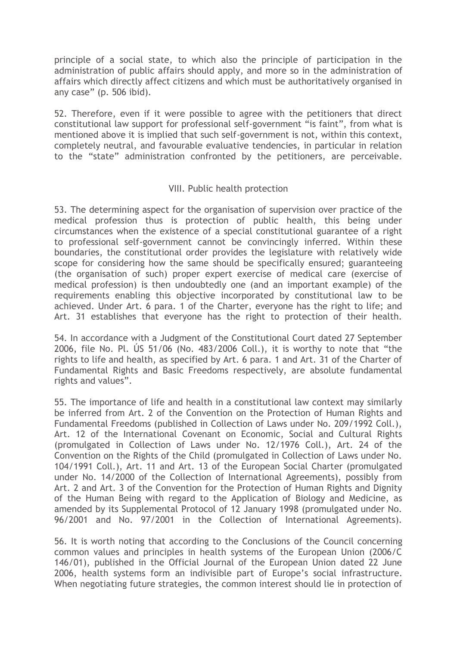principle of a social state, to which also the principle of participation in the administration of public affairs should apply, and more so in the administration of affairs which directly affect citizens and which must be authoritatively organised in any case" (p. 506 ibid).

52. Therefore, even if it were possible to agree with the petitioners that direct constitutional law support for professional self-government "is faint", from what is mentioned above it is implied that such self-government is not, within this context, completely neutral, and favourable evaluative tendencies, in particular in relation to the "state" administration confronted by the petitioners, are perceivable.

## VIII. Public health protection

53. The determining aspect for the organisation of supervision over practice of the medical profession thus is protection of public health, this being under circumstances when the existence of a special constitutional guarantee of a right to professional self-government cannot be convincingly inferred. Within these boundaries, the constitutional order provides the legislature with relatively wide scope for considering how the same should be specifically ensured; guaranteeing (the organisation of such) proper expert exercise of medical care (exercise of medical profession) is then undoubtedly one (and an important example) of the requirements enabling this objective incorporated by constitutional law to be achieved. Under Art. 6 para. 1 of the Charter, everyone has the right to life; and Art. 31 establishes that everyone has the right to protection of their health.

54. In accordance with a Judgment of the Constitutional Court dated 27 September 2006, file No. Pl. ÚS 51/06 (No. 483/2006 Coll.), it is worthy to note that "the rights to life and health, as specified by Art. 6 para. 1 and Art. 31 of the Charter of Fundamental Rights and Basic Freedoms respectively, are absolute fundamental rights and values".

55. The importance of life and health in a constitutional law context may similarly be inferred from Art. 2 of the Convention on the Protection of Human Rights and Fundamental Freedoms (published in Collection of Laws under No. 209/1992 Coll.), Art. 12 of the International Covenant on Economic, Social and Cultural Rights (promulgated in Collection of Laws under No. 12/1976 Coll.), Art. 24 of the Convention on the Rights of the Child (promulgated in Collection of Laws under No. 104/1991 Coll.), Art. 11 and Art. 13 of the European Social Charter (promulgated under No. 14/2000 of the Collection of International Agreements), possibly from Art. 2 and Art. 3 of the Convention for the Protection of Human Rights and Dignity of the Human Being with regard to the Application of Biology and Medicine, as amended by its Supplemental Protocol of 12 January 1998 (promulgated under No. 96/2001 and No. 97/2001 in the Collection of International Agreements).

56. It is worth noting that according to the Conclusions of the Council concerning common values and principles in health systems of the European Union (2006/C 146/01), published in the Official Journal of the European Union dated 22 June 2006, health systems form an indivisible part of Europe's social infrastructure. When negotiating future strategies, the common interest should lie in protection of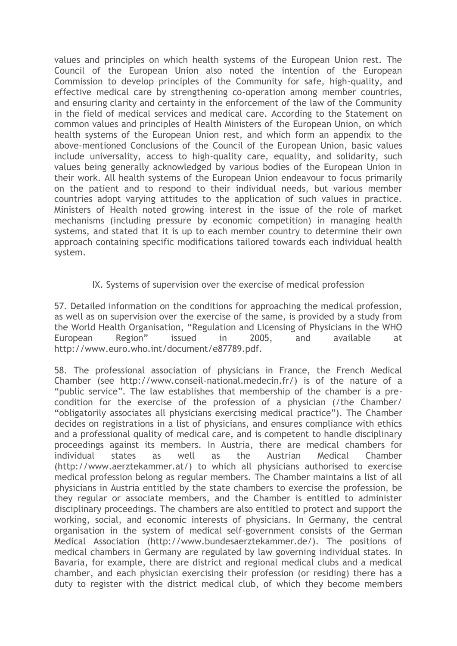values and principles on which health systems of the European Union rest. The Council of the European Union also noted the intention of the European Commission to develop principles of the Community for safe, high-quality, and effective medical care by strengthening co-operation among member countries, and ensuring clarity and certainty in the enforcement of the law of the Community in the field of medical services and medical care. According to the Statement on common values and principles of Health Ministers of the European Union, on which health systems of the European Union rest, and which form an appendix to the above-mentioned Conclusions of the Council of the European Union, basic values include universality, access to high-quality care, equality, and solidarity, such values being generally acknowledged by various bodies of the European Union in their work. All health systems of the European Union endeavour to focus primarily on the patient and to respond to their individual needs, but various member countries adopt varying attitudes to the application of such values in practice. Ministers of Health noted growing interest in the issue of the role of market mechanisms (including pressure by economic competition) in managing health systems, and stated that it is up to each member country to determine their own approach containing specific modifications tailored towards each individual health system.

## IX. Systems of supervision over the exercise of medical profession

57. Detailed information on the conditions for approaching the medical profession, as well as on supervision over the exercise of the same, is provided by a study from the World Health Organisation, "Regulation and Licensing of Physicians in the WHO European Region" issued in 2005, and available at http://www.euro.who.int/document/e87789.pdf.

58. The professional association of physicians in France, the French Medical Chamber (see http://www.conseil-national.medecin.fr/) is of the nature of a "public service". The law establishes that membership of the chamber is a precondition for the exercise of the profession of a physician (/the Chamber/ "obligatorily associates all physicians exercising medical practice"). The Chamber decides on registrations in a list of physicians, and ensures compliance with ethics and a professional quality of medical care, and is competent to handle disciplinary proceedings against its members. In Austria, there are medical chambers for individual states as well as the Austrian Medical Chamber (http://www.aerztekammer.at/) to which all physicians authorised to exercise medical profession belong as regular members. The Chamber maintains a list of all physicians in Austria entitled by the state chambers to exercise the profession, be they regular or associate members, and the Chamber is entitled to administer disciplinary proceedings. The chambers are also entitled to protect and support the working, social, and economic interests of physicians. In Germany, the central organisation in the system of medical self-government consists of the German Medical Association (http://www.bundesaerztekammer.de/). The positions of medical chambers in Germany are regulated by law governing individual states. In Bavaria, for example, there are district and regional medical clubs and a medical chamber, and each physician exercising their profession (or residing) there has a duty to register with the district medical club, of which they become members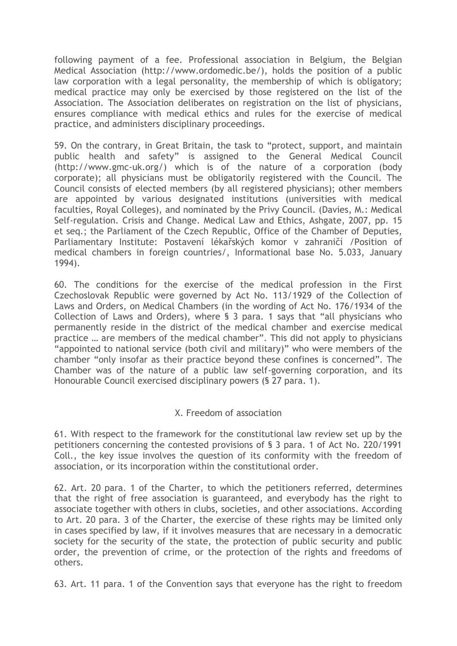following payment of a fee. Professional association in Belgium, the Belgian Medical Association (http://www.ordomedic.be/), holds the position of a public law corporation with a legal personality, the membership of which is obligatory; medical practice may only be exercised by those registered on the list of the Association. The Association deliberates on registration on the list of physicians, ensures compliance with medical ethics and rules for the exercise of medical practice, and administers disciplinary proceedings.

59. On the contrary, in Great Britain, the task to "protect, support, and maintain public health and safety" is assigned to the General Medical Council (http://www.gmc-uk.org/) which is of the nature of a corporation (body corporate); all physicians must be obligatorily registered with the Council. The Council consists of elected members (by all registered physicians); other members are appointed by various designated institutions (universities with medical faculties, Royal Colleges), and nominated by the Privy Council. (Davies, M.: Medical Self-regulation. Crisis and Change. Medical Law and Ethics, Ashgate, 2007, pp. 15 et seq.; the Parliament of the Czech Republic, Office of the Chamber of Deputies, Parliamentary Institute: Postavení lékařských komor v zahraničí /Position of medical chambers in foreign countries/, Informational base No. 5.033, January 1994).

60. The conditions for the exercise of the medical profession in the First Czechoslovak Republic were governed by Act No. 113/1929 of the Collection of Laws and Orders, on Medical Chambers (in the wording of Act No. 176/1934 of the Collection of Laws and Orders), where § 3 para. 1 says that "all physicians who permanently reside in the district of the medical chamber and exercise medical practice … are members of the medical chamber". This did not apply to physicians "appointed to national service (both civil and military)" who were members of the chamber "only insofar as their practice beyond these confines is concerned". The Chamber was of the nature of a public law self-governing corporation, and its Honourable Council exercised disciplinary powers (§ 27 para. 1).

# X. Freedom of association

61. With respect to the framework for the constitutional law review set up by the petitioners concerning the contested provisions of § 3 para. 1 of Act No. 220/1991 Coll., the key issue involves the question of its conformity with the freedom of association, or its incorporation within the constitutional order.

62. Art. 20 para. 1 of the Charter, to which the petitioners referred, determines that the right of free association is guaranteed, and everybody has the right to associate together with others in clubs, societies, and other associations. According to Art. 20 para. 3 of the Charter, the exercise of these rights may be limited only in cases specified by law, if it involves measures that are necessary in a democratic society for the security of the state, the protection of public security and public order, the prevention of crime, or the protection of the rights and freedoms of others.

63. Art. 11 para. 1 of the Convention says that everyone has the right to freedom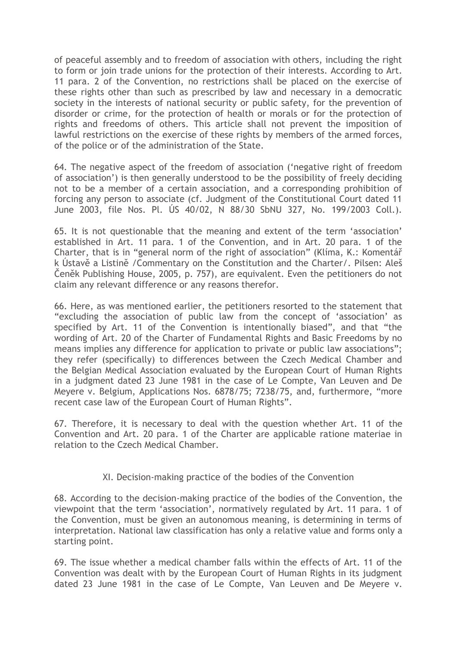of peaceful assembly and to freedom of association with others, including the right to form or join trade unions for the protection of their interests. According to Art. 11 para. 2 of the Convention, no restrictions shall be placed on the exercise of these rights other than such as prescribed by law and necessary in a democratic society in the interests of national security or public safety, for the prevention of disorder or crime, for the protection of health or morals or for the protection of rights and freedoms of others. This article shall not prevent the imposition of lawful restrictions on the exercise of these rights by members of the armed forces, of the police or of the administration of the State.

64. The negative aspect of the freedom of association ('negative right of freedom of association') is then generally understood to be the possibility of freely deciding not to be a member of a certain association, and a corresponding prohibition of forcing any person to associate (cf. Judgment of the Constitutional Court dated 11 June 2003, file Nos. Pl. ÚS 40/02, N 88/30 SbNU 327, No. 199/2003 Coll.).

65. It is not questionable that the meaning and extent of the term 'association' established in Art. 11 para. 1 of the Convention, and in Art. 20 para. 1 of the Charter, that is in "general norm of the right of association" (Klíma, K.: Komentář k Ústavě a Listině /Commentary on the Constitution and the Charter/. Pilsen: Aleš Čeněk Publishing House, 2005, p. 757), are equivalent. Even the petitioners do not claim any relevant difference or any reasons therefor.

66. Here, as was mentioned earlier, the petitioners resorted to the statement that "excluding the association of public law from the concept of 'association' as specified by Art. 11 of the Convention is intentionally biased", and that "the wording of Art. 20 of the Charter of Fundamental Rights and Basic Freedoms by no means implies any difference for application to private or public law associations"; they refer (specifically) to differences between the Czech Medical Chamber and the Belgian Medical Association evaluated by the European Court of Human Rights in a judgment dated 23 June 1981 in the case of Le Compte, Van Leuven and De Meyere v. Belgium, Applications Nos. 6878/75; 7238/75, and, furthermore, "more recent case law of the European Court of Human Rights".

67. Therefore, it is necessary to deal with the question whether Art. 11 of the Convention and Art. 20 para. 1 of the Charter are applicable ratione materiae in relation to the Czech Medical Chamber.

# XI. Decision-making practice of the bodies of the Convention

68. According to the decision-making practice of the bodies of the Convention, the viewpoint that the term 'association', normatively regulated by Art. 11 para. 1 of the Convention, must be given an autonomous meaning, is determining in terms of interpretation. National law classification has only a relative value and forms only a starting point.

69. The issue whether a medical chamber falls within the effects of Art. 11 of the Convention was dealt with by the European Court of Human Rights in its judgment dated 23 June 1981 in the case of Le Compte, Van Leuven and De Meyere v.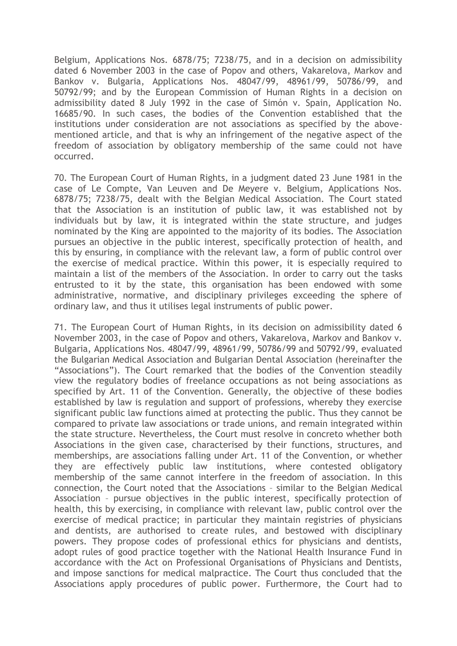Belgium, Applications Nos. 6878/75; 7238/75, and in a decision on admissibility dated 6 November 2003 in the case of Popov and others, Vakarelova, Markov and Bankov v. Bulgaria, Applications Nos. 48047/99, 48961/99, 50786/99, and 50792/99; and by the European Commission of Human Rights in a decision on admissibility dated 8 July 1992 in the case of Simón v. Spain, Application No. 16685/90. In such cases, the bodies of the Convention established that the institutions under consideration are not associations as specified by the abovementioned article, and that is why an infringement of the negative aspect of the freedom of association by obligatory membership of the same could not have occurred.

70. The European Court of Human Rights, in a judgment dated 23 June 1981 in the case of Le Compte, Van Leuven and De Meyere v. Belgium, Applications Nos. 6878/75; 7238/75, dealt with the Belgian Medical Association. The Court stated that the Association is an institution of public law, it was established not by individuals but by law, it is integrated within the state structure, and judges nominated by the King are appointed to the majority of its bodies. The Association pursues an objective in the public interest, specifically protection of health, and this by ensuring, in compliance with the relevant law, a form of public control over the exercise of medical practice. Within this power, it is especially required to maintain a list of the members of the Association. In order to carry out the tasks entrusted to it by the state, this organisation has been endowed with some administrative, normative, and disciplinary privileges exceeding the sphere of ordinary law, and thus it utilises legal instruments of public power.

71. The European Court of Human Rights, in its decision on admissibility dated 6 November 2003, in the case of Popov and others, Vakarelova, Markov and Bankov v. Bulgaria, Applications Nos. 48047/99, 48961/99, 50786/99 and 50792/99, evaluated the Bulgarian Medical Association and Bulgarian Dental Association (hereinafter the "Associations"). The Court remarked that the bodies of the Convention steadily view the regulatory bodies of freelance occupations as not being associations as specified by Art. 11 of the Convention. Generally, the objective of these bodies established by law is regulation and support of professions, whereby they exercise significant public law functions aimed at protecting the public. Thus they cannot be compared to private law associations or trade unions, and remain integrated within the state structure. Nevertheless, the Court must resolve in concreto whether both Associations in the given case, characterised by their functions, structures, and memberships, are associations falling under Art. 11 of the Convention, or whether they are effectively public law institutions, where contested obligatory membership of the same cannot interfere in the freedom of association. In this connection, the Court noted that the Associations – similar to the Belgian Medical Association – pursue objectives in the public interest, specifically protection of health, this by exercising, in compliance with relevant law, public control over the exercise of medical practice; in particular they maintain registries of physicians and dentists, are authorised to create rules, and bestowed with disciplinary powers. They propose codes of professional ethics for physicians and dentists, adopt rules of good practice together with the National Health Insurance Fund in accordance with the Act on Professional Organisations of Physicians and Dentists, and impose sanctions for medical malpractice. The Court thus concluded that the Associations apply procedures of public power. Furthermore, the Court had to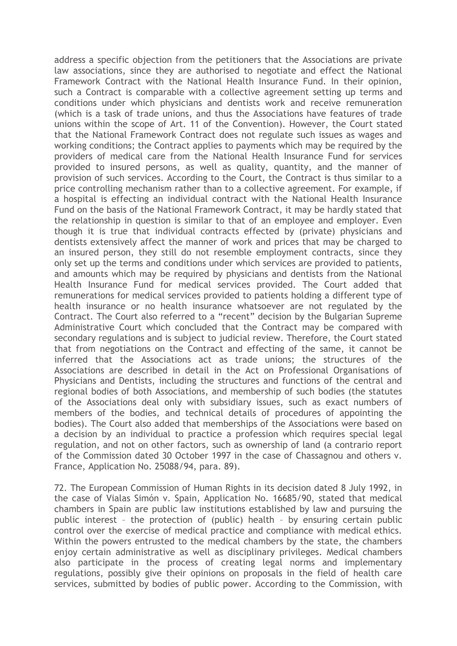address a specific objection from the petitioners that the Associations are private law associations, since they are authorised to negotiate and effect the National Framework Contract with the National Health Insurance Fund. In their opinion, such a Contract is comparable with a collective agreement setting up terms and conditions under which physicians and dentists work and receive remuneration (which is a task of trade unions, and thus the Associations have features of trade unions within the scope of Art. 11 of the Convention). However, the Court stated that the National Framework Contract does not regulate such issues as wages and working conditions; the Contract applies to payments which may be required by the providers of medical care from the National Health Insurance Fund for services provided to insured persons, as well as quality, quantity, and the manner of provision of such services. According to the Court, the Contract is thus similar to a price controlling mechanism rather than to a collective agreement. For example, if a hospital is effecting an individual contract with the National Health Insurance Fund on the basis of the National Framework Contract, it may be hardly stated that the relationship in question is similar to that of an employee and employer. Even though it is true that individual contracts effected by (private) physicians and dentists extensively affect the manner of work and prices that may be charged to an insured person, they still do not resemble employment contracts, since they only set up the terms and conditions under which services are provided to patients, and amounts which may be required by physicians and dentists from the National Health Insurance Fund for medical services provided. The Court added that remunerations for medical services provided to patients holding a different type of health insurance or no health insurance whatsoever are not regulated by the Contract. The Court also referred to a "recent" decision by the Bulgarian Supreme Administrative Court which concluded that the Contract may be compared with secondary regulations and is subject to judicial review. Therefore, the Court stated that from negotiations on the Contract and effecting of the same, it cannot be inferred that the Associations act as trade unions; the structures of the Associations are described in detail in the Act on Professional Organisations of Physicians and Dentists, including the structures and functions of the central and regional bodies of both Associations, and membership of such bodies (the statutes of the Associations deal only with subsidiary issues, such as exact numbers of members of the bodies, and technical details of procedures of appointing the bodies). The Court also added that memberships of the Associations were based on a decision by an individual to practice a profession which requires special legal regulation, and not on other factors, such as ownership of land (a contrario report of the Commission dated 30 October 1997 in the case of Chassagnou and others v. France, Application No. 25088/94, para. 89).

72. The European Commission of Human Rights in its decision dated 8 July 1992, in the case of Vialas Simón v. Spain, Application No. 16685/90, stated that medical chambers in Spain are public law institutions established by law and pursuing the public interest – the protection of (public) health – by ensuring certain public control over the exercise of medical practice and compliance with medical ethics. Within the powers entrusted to the medical chambers by the state, the chambers enjoy certain administrative as well as disciplinary privileges. Medical chambers also participate in the process of creating legal norms and implementary regulations, possibly give their opinions on proposals in the field of health care services, submitted by bodies of public power. According to the Commission, with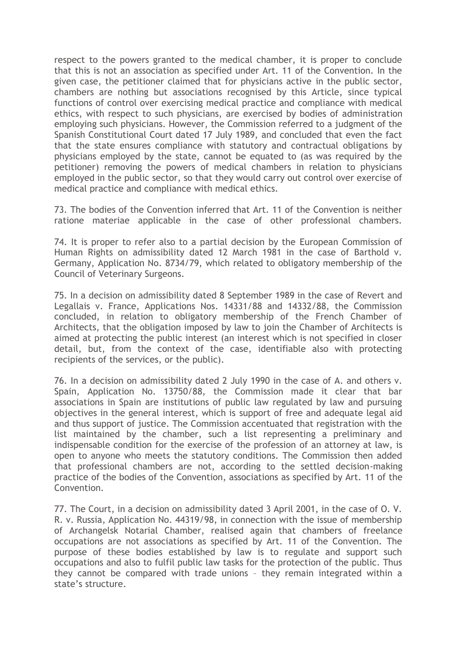respect to the powers granted to the medical chamber, it is proper to conclude that this is not an association as specified under Art. 11 of the Convention. In the given case, the petitioner claimed that for physicians active in the public sector, chambers are nothing but associations recognised by this Article, since typical functions of control over exercising medical practice and compliance with medical ethics, with respect to such physicians, are exercised by bodies of administration employing such physicians. However, the Commission referred to a judgment of the Spanish Constitutional Court dated 17 July 1989, and concluded that even the fact that the state ensures compliance with statutory and contractual obligations by physicians employed by the state, cannot be equated to (as was required by the petitioner) removing the powers of medical chambers in relation to physicians employed in the public sector, so that they would carry out control over exercise of medical practice and compliance with medical ethics.

73. The bodies of the Convention inferred that Art. 11 of the Convention is neither ratione materiae applicable in the case of other professional chambers.

74. It is proper to refer also to a partial decision by the European Commission of Human Rights on admissibility dated 12 March 1981 in the case of Barthold v. Germany, Application No. 8734/79, which related to obligatory membership of the Council of Veterinary Surgeons.

75. In a decision on admissibility dated 8 September 1989 in the case of Revert and Legallais v. France, Applications Nos. 14331/88 and 14332/88, the Commission concluded, in relation to obligatory membership of the French Chamber of Architects, that the obligation imposed by law to join the Chamber of Architects is aimed at protecting the public interest (an interest which is not specified in closer detail, but, from the context of the case, identifiable also with protecting recipients of the services, or the public).

76. In a decision on admissibility dated 2 July 1990 in the case of A. and others v. Spain, Application No. 13750/88, the Commission made it clear that bar associations in Spain are institutions of public law regulated by law and pursuing objectives in the general interest, which is support of free and adequate legal aid and thus support of justice. The Commission accentuated that registration with the list maintained by the chamber, such a list representing a preliminary and indispensable condition for the exercise of the profession of an attorney at law, is open to anyone who meets the statutory conditions. The Commission then added that professional chambers are not, according to the settled decision-making practice of the bodies of the Convention, associations as specified by Art. 11 of the Convention.

77. The Court, in a decision on admissibility dated 3 April 2001, in the case of O. V. R. v. Russia, Application No. 44319/98, in connection with the issue of membership of Archangelsk Notarial Chamber, realised again that chambers of freelance occupations are not associations as specified by Art. 11 of the Convention. The purpose of these bodies established by law is to regulate and support such occupations and also to fulfil public law tasks for the protection of the public. Thus they cannot be compared with trade unions – they remain integrated within a state's structure.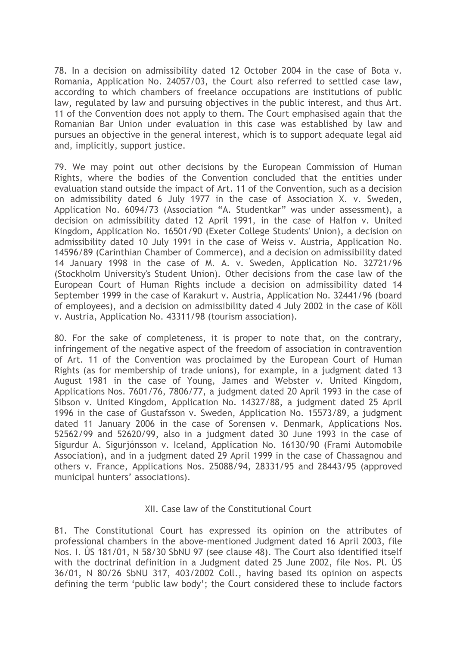78. In a decision on admissibility dated 12 October 2004 in the case of Bota v. Romania, Application No. 24057/03, the Court also referred to settled case law, according to which chambers of freelance occupations are institutions of public law, regulated by law and pursuing objectives in the public interest, and thus Art. 11 of the Convention does not apply to them. The Court emphasised again that the Romanian Bar Union under evaluation in this case was established by law and pursues an objective in the general interest, which is to support adequate legal aid and, implicitly, support justice.

79. We may point out other decisions by the European Commission of Human Rights, where the bodies of the Convention concluded that the entities under evaluation stand outside the impact of Art. 11 of the Convention, such as a decision on admissibility dated 6 July 1977 in the case of Association X. v. Sweden, Application No. 6094/73 (Association "A. Studentkar" was under assessment), a decision on admissibility dated 12 April 1991, in the case of Halfon v. United Kingdom, Application No. 16501/90 (Exeter College Students' Union), a decision on admissibility dated 10 July 1991 in the case of Weiss v. Austria, Application No. 14596/89 (Carinthian Chamber of Commerce), and a decision on admissibility dated 14 January 1998 in the case of M. A. v. Sweden, Application No. 32721/96 (Stockholm University's Student Union). Other decisions from the case law of the European Court of Human Rights include a decision on admissibility dated 14 September 1999 in the case of Karakurt v. Austria, Application No. 32441/96 (board of employees), and a decision on admissibility dated 4 July 2002 in the case of Köll v. Austria, Application No. 43311/98 (tourism association).

80. For the sake of completeness, it is proper to note that, on the contrary, infringement of the negative aspect of the freedom of association in contravention of Art. 11 of the Convention was proclaimed by the European Court of Human Rights (as for membership of trade unions), for example, in a judgment dated 13 August 1981 in the case of Young, James and Webster v. United Kingdom, Applications Nos. 7601/76, 7806/77, a judgment dated 20 April 1993 in the case of Sibson v. United Kingdom, Application No. 14327/88, a judgment dated 25 April 1996 in the case of Gustafsson v. Sweden, Application No. 15573/89, a judgment dated 11 January 2006 in the case of Sorensen v. Denmark, Applications Nos. 52562/99 and 52620/99, also in a judgment dated 30 June 1993 in the case of Sigurdur A. Sigurjónsson v. Iceland, Application No. 16130/90 (Frami Automobile Association), and in a judgment dated 29 April 1999 in the case of Chassagnou and others v. France, Applications Nos. 25088/94, 28331/95 and 28443/95 (approved municipal hunters' associations).

## XII. Case law of the Constitutional Court

81. The Constitutional Court has expressed its opinion on the attributes of professional chambers in the above-mentioned Judgment dated 16 April 2003, file Nos. I. ÚS 181/01, N 58/30 SbNU 97 (see clause 48). The Court also identified itself with the doctrinal definition in a Judgment dated 25 June 2002, file Nos. Pl. ÚS 36/01, N 80/26 SbNU 317, 403/2002 Coll., having based its opinion on aspects defining the term 'public law body'; the Court considered these to include factors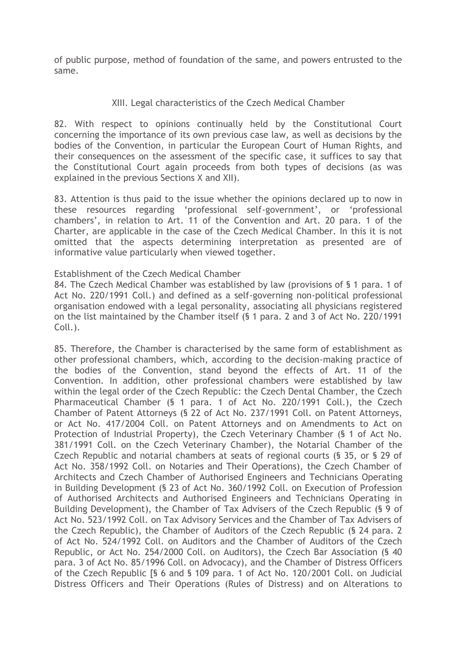of public purpose, method of foundation of the same, and powers entrusted to the same.

## XIII. Legal characteristics of the Czech Medical Chamber

82. With respect to opinions continually held by the Constitutional Court concerning the importance of its own previous case law, as well as decisions by the bodies of the Convention, in particular the European Court of Human Rights, and their consequences on the assessment of the specific case, it suffices to say that the Constitutional Court again proceeds from both types of decisions (as was explained in the previous Sections X and XII).

83. Attention is thus paid to the issue whether the opinions declared up to now in these resources regarding 'professional self-government', or 'professional chambers', in relation to Art. 11 of the Convention and Art. 20 para. 1 of the Charter, are applicable in the case of the Czech Medical Chamber. In this it is not omitted that the aspects determining interpretation as presented are of informative value particularly when viewed together.

## Establishment of the Czech Medical Chamber

84. The Czech Medical Chamber was established by law (provisions of § 1 para. 1 of Act No. 220/1991 Coll.) and defined as a self-governing non-political professional organisation endowed with a legal personality, associating all physicians registered on the list maintained by the Chamber itself (§ 1 para. 2 and 3 of Act No. 220/1991 Coll.).

85. Therefore, the Chamber is characterised by the same form of establishment as other professional chambers, which, according to the decision-making practice of the bodies of the Convention, stand beyond the effects of Art. 11 of the Convention. In addition, other professional chambers were established by law within the legal order of the Czech Republic: the Czech Dental Chamber, the Czech Pharmaceutical Chamber (§ 1 para. 1 of Act No. 220/1991 Coll.), the Czech Chamber of Patent Attorneys (§ 22 of Act No. 237/1991 Coll. on Patent Attorneys, or Act No. 417/2004 Coll. on Patent Attorneys and on Amendments to Act on Protection of Industrial Property), the Czech Veterinary Chamber (§ 1 of Act No. 381/1991 Coll. on the Czech Veterinary Chamber), the Notarial Chamber of the Czech Republic and notarial chambers at seats of regional courts (§ 35, or § 29 of Act No. 358/1992 Coll. on Notaries and Their Operations), the Czech Chamber of Architects and Czech Chamber of Authorised Engineers and Technicians Operating in Building Development (§ 23 of Act No. 360/1992 Coll. on Execution of Profession of Authorised Architects and Authorised Engineers and Technicians Operating in Building Development), the Chamber of Tax Advisers of the Czech Republic (§ 9 of Act No. 523/1992 Coll. on Tax Advisory Services and the Chamber of Tax Advisers of the Czech Republic), the Chamber of Auditors of the Czech Republic (§ 24 para. 2 of Act No. 524/1992 Coll. on Auditors and the Chamber of Auditors of the Czech Republic, or Act No. 254/2000 Coll. on Auditors), the Czech Bar Association (§ 40 para. 3 of Act No. 85/1996 Coll. on Advocacy), and the Chamber of Distress Officers of the Czech Republic [§ 6 and § 109 para. 1 of Act No. 120/2001 Coll. on Judicial Distress Officers and Their Operations (Rules of Distress) and on Alterations to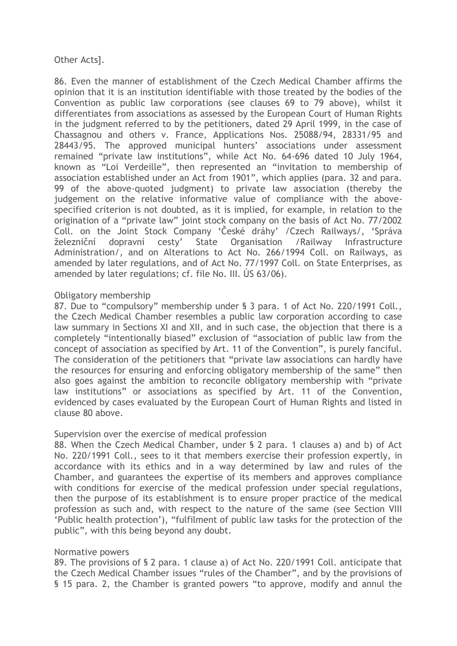## Other Acts].

86. Even the manner of establishment of the Czech Medical Chamber affirms the opinion that it is an institution identifiable with those treated by the bodies of the Convention as public law corporations (see clauses 69 to 79 above), whilst it differentiates from associations as assessed by the European Court of Human Rights in the judgment referred to by the petitioners, dated 29 April 1999, in the case of Chassagnou and others v. France, Applications Nos. 25088/94, 28331/95 and 28443/95. The approved municipal hunters' associations under assessment remained "private law institutions", while Act No. 64-696 dated 10 July 1964, known as "Loi Verdeille", then represented an "invitation to membership of association established under an Act from 1901", which applies (para. 32 and para. 99 of the above-quoted judgment) to private law association (thereby the judgement on the relative informative value of compliance with the abovespecified criterion is not doubted, as it is implied, for example, in relation to the origination of a "private law" joint stock company on the basis of Act No. 77/2002 Coll. on the Joint Stock Company 'České dráhy' /Czech Railways/, 'Správa železniční dopravní cesty' State Organisation /Railway Infrastructure Administration/, and on Alterations to Act No. 266/1994 Coll. on Railways, as amended by later regulations, and of Act No. 77/1997 Coll. on State Enterprises, as amended by later regulations; cf. file No. III. ÚS 63/06).

## Obligatory membership

87. Due to "compulsory" membership under § 3 para. 1 of Act No. 220/1991 Coll., the Czech Medical Chamber resembles a public law corporation according to case law summary in Sections XI and XII, and in such case, the objection that there is a completely "intentionally biased" exclusion of "association of public law from the concept of association as specified by Art. 11 of the Convention", is purely fanciful. The consideration of the petitioners that "private law associations can hardly have the resources for ensuring and enforcing obligatory membership of the same" then also goes against the ambition to reconcile obligatory membership with "private law institutions" or associations as specified by Art. 11 of the Convention, evidenced by cases evaluated by the European Court of Human Rights and listed in clause 80 above.

#### Supervision over the exercise of medical profession

88. When the Czech Medical Chamber, under § 2 para. 1 clauses a) and b) of Act No. 220/1991 Coll., sees to it that members exercise their profession expertly, in accordance with its ethics and in a way determined by law and rules of the Chamber, and guarantees the expertise of its members and approves compliance with conditions for exercise of the medical profession under special regulations, then the purpose of its establishment is to ensure proper practice of the medical profession as such and, with respect to the nature of the same (see Section VIII 'Public health protection'), "fulfilment of public law tasks for the protection of the public", with this being beyond any doubt.

#### Normative powers

89. The provisions of § 2 para. 1 clause a) of Act No. 220/1991 Coll. anticipate that the Czech Medical Chamber issues "rules of the Chamber", and by the provisions of § 15 para. 2, the Chamber is granted powers "to approve, modify and annul the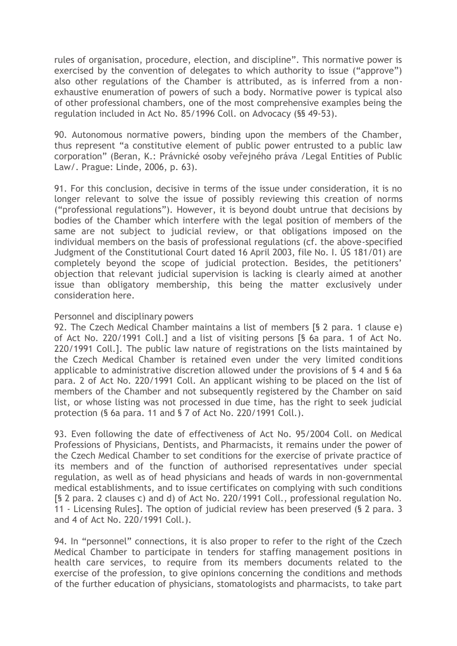rules of organisation, procedure, election, and discipline". This normative power is exercised by the convention of delegates to which authority to issue ("approve") also other regulations of the Chamber is attributed, as is inferred from a nonexhaustive enumeration of powers of such a body. Normative power is typical also of other professional chambers, one of the most comprehensive examples being the regulation included in Act No. 85/1996 Coll. on Advocacy (§§ 49-53).

90. Autonomous normative powers, binding upon the members of the Chamber, thus represent "a constitutive element of public power entrusted to a public law corporation" (Beran, K.: Právnické osoby veřejného práva /Legal Entities of Public Law/. Prague: Linde, 2006, p. 63).

91. For this conclusion, decisive in terms of the issue under consideration, it is no longer relevant to solve the issue of possibly reviewing this creation of norms ("professional regulations"). However, it is beyond doubt untrue that decisions by bodies of the Chamber which interfere with the legal position of members of the same are not subject to judicial review, or that obligations imposed on the individual members on the basis of professional regulations (cf. the above-specified Judgment of the Constitutional Court dated 16 April 2003, file No. I. ÚS 181/01) are completely beyond the scope of judicial protection. Besides, the petitioners' objection that relevant judicial supervision is lacking is clearly aimed at another issue than obligatory membership, this being the matter exclusively under consideration here.

#### Personnel and disciplinary powers

92. The Czech Medical Chamber maintains a list of members [§ 2 para. 1 clause e) of Act No. 220/1991 Coll.] and a list of visiting persons [§ 6a para. 1 of Act No. 220/1991 Coll.]. The public law nature of registrations on the lists maintained by the Czech Medical Chamber is retained even under the very limited conditions applicable to administrative discretion allowed under the provisions of § 4 and § 6a para. 2 of Act No. 220/1991 Coll. An applicant wishing to be placed on the list of members of the Chamber and not subsequently registered by the Chamber on said list, or whose listing was not processed in due time, has the right to seek judicial protection (§ 6a para. 11 and § 7 of Act No. 220/1991 Coll.).

93. Even following the date of effectiveness of Act No. 95/2004 Coll. on Medical Professions of Physicians, Dentists, and Pharmacists, it remains under the power of the Czech Medical Chamber to set conditions for the exercise of private practice of its members and of the function of authorised representatives under special regulation, as well as of head physicians and heads of wards in non-governmental medical establishments, and to issue certificates on complying with such conditions [§ 2 para. 2 clauses c) and d) of Act No. 220/1991 Coll., professional regulation No. 11 - Licensing Rules]. The option of judicial review has been preserved (§ 2 para. 3 and 4 of Act No. 220/1991 Coll.).

94. In "personnel" connections, it is also proper to refer to the right of the Czech Medical Chamber to participate in tenders for staffing management positions in health care services, to require from its members documents related to the exercise of the profession, to give opinions concerning the conditions and methods of the further education of physicians, stomatologists and pharmacists, to take part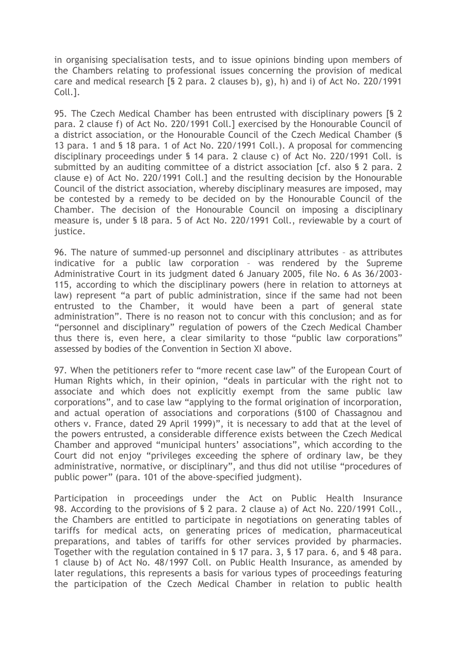in organising specialisation tests, and to issue opinions binding upon members of the Chambers relating to professional issues concerning the provision of medical care and medical research [§ 2 para. 2 clauses b), g), h) and i) of Act No. 220/1991 Coll.].

95. The Czech Medical Chamber has been entrusted with disciplinary powers [§ 2 para. 2 clause f) of Act No. 220/1991 Coll.] exercised by the Honourable Council of a district association, or the Honourable Council of the Czech Medical Chamber (§ 13 para. 1 and § 18 para. 1 of Act No. 220/1991 Coll.). A proposal for commencing disciplinary proceedings under § 14 para. 2 clause c) of Act No. 220/1991 Coll. is submitted by an auditing committee of a district association [cf. also § 2 para. 2 clause e) of Act No. 220/1991 Coll.] and the resulting decision by the Honourable Council of the district association, whereby disciplinary measures are imposed, may be contested by a remedy to be decided on by the Honourable Council of the Chamber. The decision of the Honourable Council on imposing a disciplinary measure is, under § l8 para. 5 of Act No. 220/1991 Coll., reviewable by a court of justice.

96. The nature of summed-up personnel and disciplinary attributes – as attributes indicative for a public law corporation – was rendered by the Supreme Administrative Court in its judgment dated 6 January 2005, file No. 6 As 36/2003- 115, according to which the disciplinary powers (here in relation to attorneys at law) represent "a part of public administration, since if the same had not been entrusted to the Chamber, it would have been a part of general state administration". There is no reason not to concur with this conclusion; and as for "personnel and disciplinary" regulation of powers of the Czech Medical Chamber thus there is, even here, a clear similarity to those "public law corporations" assessed by bodies of the Convention in Section XI above.

97. When the petitioners refer to "more recent case law" of the European Court of Human Rights which, in their opinion, "deals in particular with the right not to associate and which does not explicitly exempt from the same public law corporations", and to case law "applying to the formal origination of incorporation, and actual operation of associations and corporations (§100 of Chassagnou and others v. France, dated 29 April 1999)", it is necessary to add that at the level of the powers entrusted, a considerable difference exists between the Czech Medical Chamber and approved "municipal hunters' associations", which according to the Court did not enjoy "privileges exceeding the sphere of ordinary law, be they administrative, normative, or disciplinary", and thus did not utilise "procedures of public power" (para. 101 of the above-specified judgment).

Participation in proceedings under the Act on Public Health Insurance 98. According to the provisions of § 2 para. 2 clause a) of Act No. 220/1991 Coll., the Chambers are entitled to participate in negotiations on generating tables of tariffs for medical acts, on generating prices of medication, pharmaceutical preparations, and tables of tariffs for other services provided by pharmacies. Together with the regulation contained in § 17 para. 3, § 17 para. 6, and § 48 para. 1 clause b) of Act No. 48/1997 Coll. on Public Health Insurance, as amended by later regulations, this represents a basis for various types of proceedings featuring the participation of the Czech Medical Chamber in relation to public health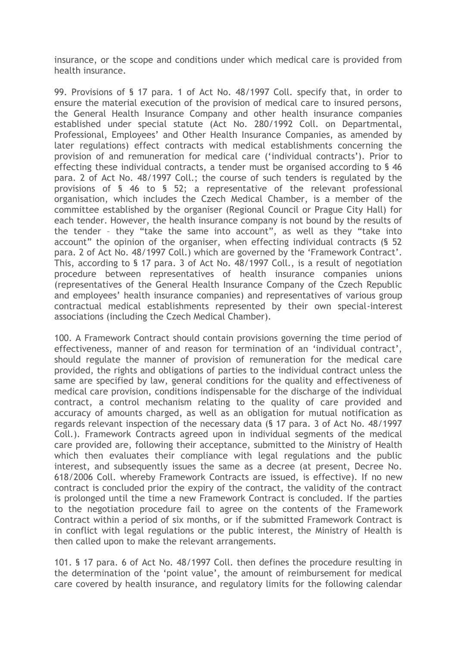insurance, or the scope and conditions under which medical care is provided from health insurance.

99. Provisions of § 17 para. 1 of Act No. 48/1997 Coll. specify that, in order to ensure the material execution of the provision of medical care to insured persons, the General Health Insurance Company and other health insurance companies established under special statute (Act No. 280/1992 Coll. on Departmental, Professional, Employees' and Other Health Insurance Companies, as amended by later regulations) effect contracts with medical establishments concerning the provision of and remuneration for medical care ('individual contracts'). Prior to effecting these individual contracts, a tender must be organised according to § 46 para. 2 of Act No. 48/1997 Coll.; the course of such tenders is regulated by the provisions of § 46 to § 52; a representative of the relevant professional organisation, which includes the Czech Medical Chamber, is a member of the committee established by the organiser (Regional Council or Prague City Hall) for each tender. However, the health insurance company is not bound by the results of the tender – they "take the same into account", as well as they "take into account" the opinion of the organiser, when effecting individual contracts (§ 52 para. 2 of Act No. 48/1997 Coll.) which are governed by the 'Framework Contract'. This, according to § 17 para. 3 of Act No. 48/1997 Coll., is a result of negotiation procedure between representatives of health insurance companies unions (representatives of the General Health Insurance Company of the Czech Republic and employees' health insurance companies) and representatives of various group contractual medical establishments represented by their own special-interest associations (including the Czech Medical Chamber).

100. A Framework Contract should contain provisions governing the time period of effectiveness, manner of and reason for termination of an 'individual contract', should regulate the manner of provision of remuneration for the medical care provided, the rights and obligations of parties to the individual contract unless the same are specified by law, general conditions for the quality and effectiveness of medical care provision, conditions indispensable for the discharge of the individual contract, a control mechanism relating to the quality of care provided and accuracy of amounts charged, as well as an obligation for mutual notification as regards relevant inspection of the necessary data (§ 17 para. 3 of Act No. 48/1997 Coll.). Framework Contracts agreed upon in individual segments of the medical care provided are, following their acceptance, submitted to the Ministry of Health which then evaluates their compliance with legal regulations and the public interest, and subsequently issues the same as a decree (at present, Decree No. 618/2006 Coll. whereby Framework Contracts are issued, is effective). If no new contract is concluded prior the expiry of the contract, the validity of the contract is prolonged until the time a new Framework Contract is concluded. If the parties to the negotiation procedure fail to agree on the contents of the Framework Contract within a period of six months, or if the submitted Framework Contract is in conflict with legal regulations or the public interest, the Ministry of Health is then called upon to make the relevant arrangements.

101. § 17 para. 6 of Act No. 48/1997 Coll. then defines the procedure resulting in the determination of the 'point value', the amount of reimbursement for medical care covered by health insurance, and regulatory limits for the following calendar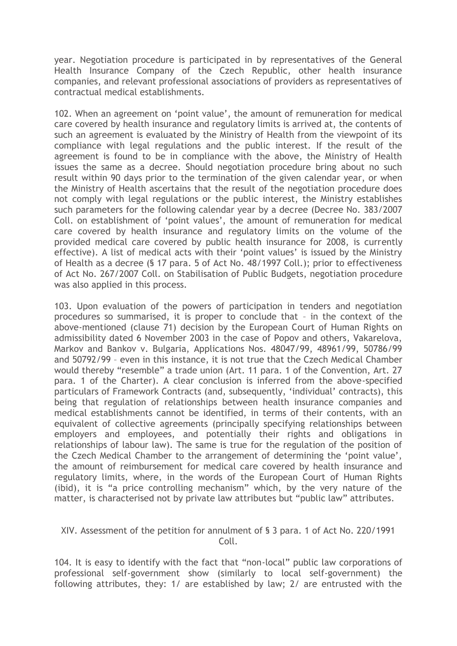year. Negotiation procedure is participated in by representatives of the General Health Insurance Company of the Czech Republic, other health insurance companies, and relevant professional associations of providers as representatives of contractual medical establishments.

102. When an agreement on 'point value', the amount of remuneration for medical care covered by health insurance and regulatory limits is arrived at, the contents of such an agreement is evaluated by the Ministry of Health from the viewpoint of its compliance with legal regulations and the public interest. If the result of the agreement is found to be in compliance with the above, the Ministry of Health issues the same as a decree. Should negotiation procedure bring about no such result within 90 days prior to the termination of the given calendar year, or when the Ministry of Health ascertains that the result of the negotiation procedure does not comply with legal regulations or the public interest, the Ministry establishes such parameters for the following calendar year by a decree (Decree No. 383/2007 Coll. on establishment of 'point values', the amount of remuneration for medical care covered by health insurance and regulatory limits on the volume of the provided medical care covered by public health insurance for 2008, is currently effective). A list of medical acts with their 'point values' is issued by the Ministry of Health as a decree (§ 17 para. 5 of Act No. 48/1997 Coll.); prior to effectiveness of Act No. 267/2007 Coll. on Stabilisation of Public Budgets, negotiation procedure was also applied in this process.

103. Upon evaluation of the powers of participation in tenders and negotiation procedures so summarised, it is proper to conclude that – in the context of the above-mentioned (clause 71) decision by the European Court of Human Rights on admissibility dated 6 November 2003 in the case of Popov and others, Vakarelova, Markov and Bankov v. Bulgaria, Applications Nos. 48047/99, 48961/99, 50786/99 and 50792/99 – even in this instance, it is not true that the Czech Medical Chamber would thereby "resemble" a trade union (Art. 11 para. 1 of the Convention, Art. 27 para. 1 of the Charter). A clear conclusion is inferred from the above-specified particulars of Framework Contracts (and, subsequently, 'individual' contracts), this being that regulation of relationships between health insurance companies and medical establishments cannot be identified, in terms of their contents, with an equivalent of collective agreements (principally specifying relationships between employers and employees, and potentially their rights and obligations in relationships of labour law). The same is true for the regulation of the position of the Czech Medical Chamber to the arrangement of determining the 'point value', the amount of reimbursement for medical care covered by health insurance and regulatory limits, where, in the words of the European Court of Human Rights (ibid), it is "a price controlling mechanism" which, by the very nature of the matter, is characterised not by private law attributes but "public law" attributes.

## XIV. Assessment of the petition for annulment of § 3 para. 1 of Act No. 220/1991 Coll.

104. It is easy to identify with the fact that "non-local" public law corporations of professional self-government show (similarly to local self-government) the following attributes, they: 1/ are established by law; 2/ are entrusted with the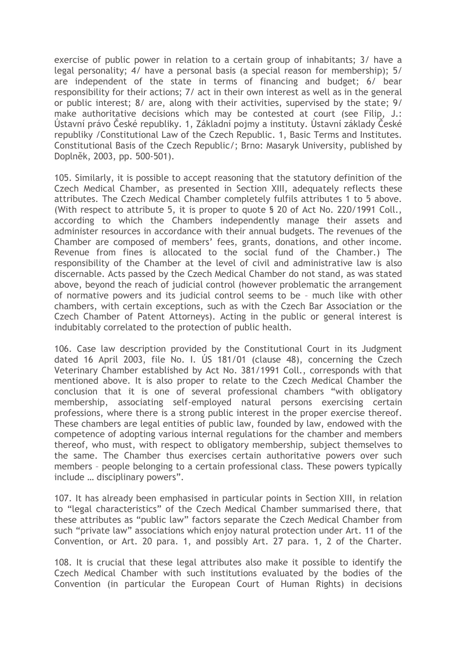exercise of public power in relation to a certain group of inhabitants; 3/ have a legal personality; 4/ have a personal basis (a special reason for membership); 5/ are independent of the state in terms of financing and budget; 6/ bear responsibility for their actions; 7/ act in their own interest as well as in the general or public interest; 8/ are, along with their activities, supervised by the state; 9/ make authoritative decisions which may be contested at court (see Filip, J.: Ústavní právo České republiky. 1, Základní pojmy a instituty. Ústavní základy České republiky /Constitutional Law of the Czech Republic. 1, Basic Terms and Institutes. Constitutional Basis of the Czech Republic/; Brno: Masaryk University, published by Doplněk, 2003, pp. 500-501).

105. Similarly, it is possible to accept reasoning that the statutory definition of the Czech Medical Chamber, as presented in Section XIII, adequately reflects these attributes. The Czech Medical Chamber completely fulfils attributes 1 to 5 above. (With respect to attribute 5, it is proper to quote § 20 of Act No. 220/1991 Coll., according to which the Chambers independently manage their assets and administer resources in accordance with their annual budgets. The revenues of the Chamber are composed of members' fees, grants, donations, and other income. Revenue from fines is allocated to the social fund of the Chamber.) The responsibility of the Chamber at the level of civil and administrative law is also discernable. Acts passed by the Czech Medical Chamber do not stand, as was stated above, beyond the reach of judicial control (however problematic the arrangement of normative powers and its judicial control seems to be – much like with other chambers, with certain exceptions, such as with the Czech Bar Association or the Czech Chamber of Patent Attorneys). Acting in the public or general interest is indubitably correlated to the protection of public health.

106. Case law description provided by the Constitutional Court in its Judgment dated 16 April 2003, file No. I. ÚS 181/01 (clause 48), concerning the Czech Veterinary Chamber established by Act No. 381/1991 Coll., corresponds with that mentioned above. It is also proper to relate to the Czech Medical Chamber the conclusion that it is one of several professional chambers "with obligatory membership, associating self-employed natural persons exercising certain professions, where there is a strong public interest in the proper exercise thereof. These chambers are legal entities of public law, founded by law, endowed with the competence of adopting various internal regulations for the chamber and members thereof, who must, with respect to obligatory membership, subject themselves to the same. The Chamber thus exercises certain authoritative powers over such members – people belonging to a certain professional class. These powers typically include … disciplinary powers".

107. It has already been emphasised in particular points in Section XIII, in relation to "legal characteristics" of the Czech Medical Chamber summarised there, that these attributes as "public law" factors separate the Czech Medical Chamber from such "private law" associations which enjoy natural protection under Art. 11 of the Convention, or Art. 20 para. 1, and possibly Art. 27 para. 1, 2 of the Charter.

108. It is crucial that these legal attributes also make it possible to identify the Czech Medical Chamber with such institutions evaluated by the bodies of the Convention (in particular the European Court of Human Rights) in decisions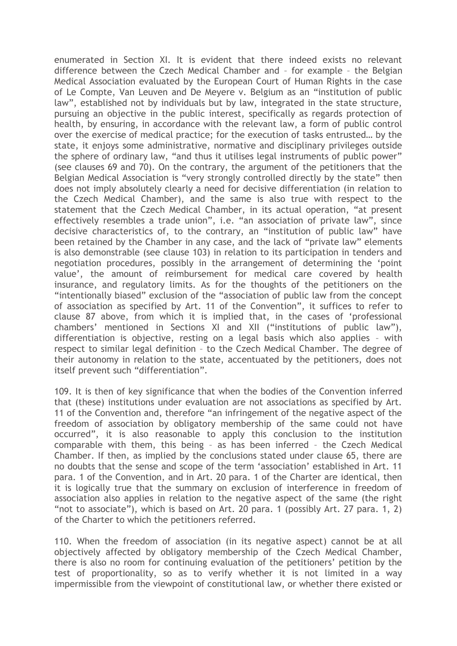enumerated in Section XI. It is evident that there indeed exists no relevant difference between the Czech Medical Chamber and – for example – the Belgian Medical Association evaluated by the European Court of Human Rights in the case of Le Compte, Van Leuven and De Meyere v. Belgium as an "institution of public law", established not by individuals but by law, integrated in the state structure, pursuing an objective in the public interest, specifically as regards protection of health, by ensuring, in accordance with the relevant law, a form of public control over the exercise of medical practice; for the execution of tasks entrusted… by the state, it enjoys some administrative, normative and disciplinary privileges outside the sphere of ordinary law, "and thus it utilises legal instruments of public power" (see clauses 69 and 70). On the contrary, the argument of the petitioners that the Belgian Medical Association is "very strongly controlled directly by the state" then does not imply absolutely clearly a need for decisive differentiation (in relation to the Czech Medical Chamber), and the same is also true with respect to the statement that the Czech Medical Chamber, in its actual operation, "at present effectively resembles a trade union", i.e. "an association of private law", since decisive characteristics of, to the contrary, an "institution of public law" have been retained by the Chamber in any case, and the lack of "private law" elements is also demonstrable (see clause 103) in relation to its participation in tenders and negotiation procedures, possibly in the arrangement of determining the 'point value', the amount of reimbursement for medical care covered by health insurance, and regulatory limits. As for the thoughts of the petitioners on the "intentionally biased" exclusion of the "association of public law from the concept of association as specified by Art. 11 of the Convention", it suffices to refer to clause 87 above, from which it is implied that, in the cases of 'professional chambers' mentioned in Sections XI and XII ("institutions of public law"), differentiation is objective, resting on a legal basis which also applies – with respect to similar legal definition – to the Czech Medical Chamber. The degree of their autonomy in relation to the state, accentuated by the petitioners, does not itself prevent such "differentiation".

109. It is then of key significance that when the bodies of the Convention inferred that (these) institutions under evaluation are not associations as specified by Art. 11 of the Convention and, therefore "an infringement of the negative aspect of the freedom of association by obligatory membership of the same could not have occurred", it is also reasonable to apply this conclusion to the institution comparable with them, this being – as has been inferred – the Czech Medical Chamber. If then, as implied by the conclusions stated under clause 65, there are no doubts that the sense and scope of the term 'association' established in Art. 11 para. 1 of the Convention, and in Art. 20 para. 1 of the Charter are identical, then it is logically true that the summary on exclusion of interference in freedom of association also applies in relation to the negative aspect of the same (the right "not to associate"), which is based on Art. 20 para. 1 (possibly Art. 27 para. 1, 2) of the Charter to which the petitioners referred.

110. When the freedom of association (in its negative aspect) cannot be at all objectively affected by obligatory membership of the Czech Medical Chamber, there is also no room for continuing evaluation of the petitioners' petition by the test of proportionality, so as to verify whether it is not limited in a way impermissible from the viewpoint of constitutional law, or whether there existed or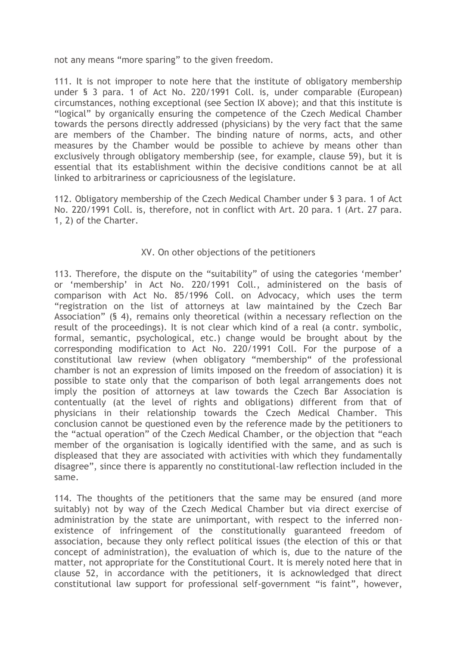not any means "more sparing" to the given freedom.

111. It is not improper to note here that the institute of obligatory membership under § 3 para. 1 of Act No. 220/1991 Coll. is, under comparable (European) circumstances, nothing exceptional (see Section IX above); and that this institute is "logical" by organically ensuring the competence of the Czech Medical Chamber towards the persons directly addressed (physicians) by the very fact that the same are members of the Chamber. The binding nature of norms, acts, and other measures by the Chamber would be possible to achieve by means other than exclusively through obligatory membership (see, for example, clause 59), but it is essential that its establishment within the decisive conditions cannot be at all linked to arbitrariness or capriciousness of the legislature.

112. Obligatory membership of the Czech Medical Chamber under § 3 para. 1 of Act No. 220/1991 Coll. is, therefore, not in conflict with Art. 20 para. 1 (Art. 27 para. 1, 2) of the Charter.

## XV. On other objections of the petitioners

113. Therefore, the dispute on the "suitability" of using the categories 'member' or 'membership' in Act No. 220/1991 Coll., administered on the basis of comparison with Act No. 85/1996 Coll. on Advocacy, which uses the term "registration on the list of attorneys at law maintained by the Czech Bar Association" (§ 4), remains only theoretical (within a necessary reflection on the result of the proceedings). It is not clear which kind of a real (a contr. symbolic, formal, semantic, psychological, etc.) change would be brought about by the corresponding modification to Act No. 220/1991 Coll. For the purpose of a constitutional law review (when obligatory "membership" of the professional chamber is not an expression of limits imposed on the freedom of association) it is possible to state only that the comparison of both legal arrangements does not imply the position of attorneys at law towards the Czech Bar Association is contentually (at the level of rights and obligations) different from that of physicians in their relationship towards the Czech Medical Chamber. This conclusion cannot be questioned even by the reference made by the petitioners to the "actual operation" of the Czech Medical Chamber, or the objection that "each member of the organisation is logically identified with the same, and as such is displeased that they are associated with activities with which they fundamentally disagree", since there is apparently no constitutional-law reflection included in the same.

114. The thoughts of the petitioners that the same may be ensured (and more suitably) not by way of the Czech Medical Chamber but via direct exercise of administration by the state are unimportant, with respect to the inferred nonexistence of infringement of the constitutionally guaranteed freedom of association, because they only reflect political issues (the election of this or that concept of administration), the evaluation of which is, due to the nature of the matter, not appropriate for the Constitutional Court. It is merely noted here that in clause 52, in accordance with the petitioners, it is acknowledged that direct constitutional law support for professional self-government "is faint", however,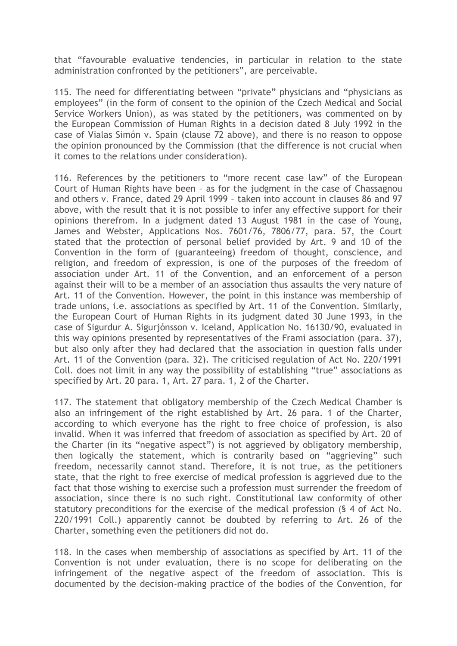that "favourable evaluative tendencies, in particular in relation to the state administration confronted by the petitioners", are perceivable.

115. The need for differentiating between "private" physicians and "physicians as employees" (in the form of consent to the opinion of the Czech Medical and Social Service Workers Union), as was stated by the petitioners, was commented on by the European Commission of Human Rights in a decision dated 8 July 1992 in the case of Vialas Simón v. Spain (clause 72 above), and there is no reason to oppose the opinion pronounced by the Commission (that the difference is not crucial when it comes to the relations under consideration).

116. References by the petitioners to "more recent case law" of the European Court of Human Rights have been – as for the judgment in the case of Chassagnou and others v. France, dated 29 April 1999 – taken into account in clauses 86 and 97 above, with the result that it is not possible to infer any effective support for their opinions therefrom. In a judgment dated 13 August 1981 in the case of Young, James and Webster, Applications Nos. 7601/76, 7806/77, para. 57, the Court stated that the protection of personal belief provided by Art. 9 and 10 of the Convention in the form of (guaranteeing) freedom of thought, conscience, and religion, and freedom of expression, is one of the purposes of the freedom of association under Art. 11 of the Convention, and an enforcement of a person against their will to be a member of an association thus assaults the very nature of Art. 11 of the Convention. However, the point in this instance was membership of trade unions, i.e. associations as specified by Art. 11 of the Convention. Similarly, the European Court of Human Rights in its judgment dated 30 June 1993, in the case of Sigurdur A. Sigurjónsson v. Iceland, Application No. 16130/90, evaluated in this way opinions presented by representatives of the Frami association (para. 37), but also only after they had declared that the association in question falls under Art. 11 of the Convention (para. 32). The criticised regulation of Act No. 220/1991 Coll. does not limit in any way the possibility of establishing "true" associations as specified by Art. 20 para. 1, Art. 27 para. 1, 2 of the Charter.

117. The statement that obligatory membership of the Czech Medical Chamber is also an infringement of the right established by Art. 26 para. 1 of the Charter, according to which everyone has the right to free choice of profession, is also invalid. When it was inferred that freedom of association as specified by Art. 20 of the Charter (in its "negative aspect") is not aggrieved by obligatory membership, then logically the statement, which is contrarily based on "aggrieving" such freedom, necessarily cannot stand. Therefore, it is not true, as the petitioners state, that the right to free exercise of medical profession is aggrieved due to the fact that those wishing to exercise such a profession must surrender the freedom of association, since there is no such right. Constitutional law conformity of other statutory preconditions for the exercise of the medical profession (§ 4 of Act No. 220/1991 Coll.) apparently cannot be doubted by referring to Art. 26 of the Charter, something even the petitioners did not do.

118. In the cases when membership of associations as specified by Art. 11 of the Convention is not under evaluation, there is no scope for deliberating on the infringement of the negative aspect of the freedom of association. This is documented by the decision-making practice of the bodies of the Convention, for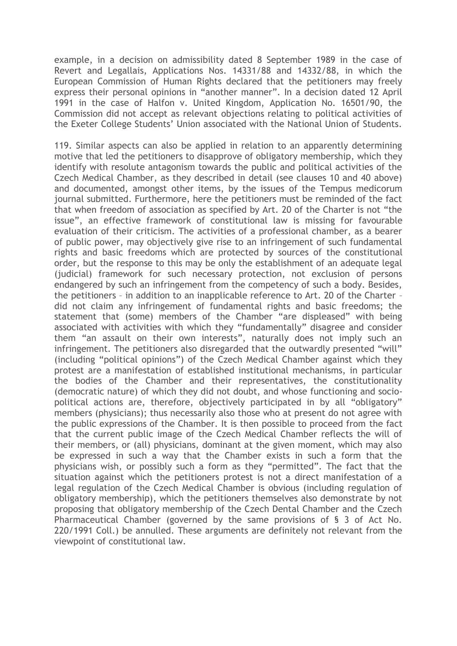example, in a decision on admissibility dated 8 September 1989 in the case of Revert and Legallais, Applications Nos. 14331/88 and 14332/88, in which the European Commission of Human Rights declared that the petitioners may freely express their personal opinions in "another manner". In a decision dated 12 April 1991 in the case of Halfon v. United Kingdom, Application No. 16501/90, the Commission did not accept as relevant objections relating to political activities of the Exeter College Students' Union associated with the National Union of Students.

119. Similar aspects can also be applied in relation to an apparently determining motive that led the petitioners to disapprove of obligatory membership, which they identify with resolute antagonism towards the public and political activities of the Czech Medical Chamber, as they described in detail (see clauses 10 and 40 above) and documented, amongst other items, by the issues of the Tempus medicorum journal submitted. Furthermore, here the petitioners must be reminded of the fact that when freedom of association as specified by Art. 20 of the Charter is not "the issue", an effective framework of constitutional law is missing for favourable evaluation of their criticism. The activities of a professional chamber, as a bearer of public power, may objectively give rise to an infringement of such fundamental rights and basic freedoms which are protected by sources of the constitutional order, but the response to this may be only the establishment of an adequate legal (judicial) framework for such necessary protection, not exclusion of persons endangered by such an infringement from the competency of such a body. Besides, the petitioners – in addition to an inapplicable reference to Art. 20 of the Charter – did not claim any infringement of fundamental rights and basic freedoms; the statement that (some) members of the Chamber "are displeased" with being associated with activities with which they "fundamentally" disagree and consider them "an assault on their own interests", naturally does not imply such an infringement. The petitioners also disregarded that the outwardly presented "will" (including "political opinions") of the Czech Medical Chamber against which they protest are a manifestation of established institutional mechanisms, in particular the bodies of the Chamber and their representatives, the constitutionality (democratic nature) of which they did not doubt, and whose functioning and sociopolitical actions are, therefore, objectively participated in by all "obligatory" members (physicians); thus necessarily also those who at present do not agree with the public expressions of the Chamber. It is then possible to proceed from the fact that the current public image of the Czech Medical Chamber reflects the will of their members, or (all) physicians, dominant at the given moment, which may also be expressed in such a way that the Chamber exists in such a form that the physicians wish, or possibly such a form as they "permitted". The fact that the situation against which the petitioners protest is not a direct manifestation of a legal regulation of the Czech Medical Chamber is obvious (including regulation of obligatory membership), which the petitioners themselves also demonstrate by not proposing that obligatory membership of the Czech Dental Chamber and the Czech Pharmaceutical Chamber (governed by the same provisions of § 3 of Act No. 220/1991 Coll.) be annulled. These arguments are definitely not relevant from the viewpoint of constitutional law.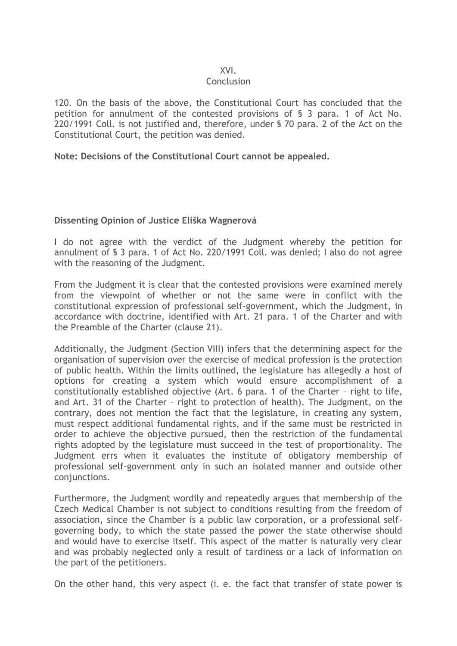#### XVI.

#### Conclusion

120. On the basis of the above, the Constitutional Court has concluded that the petition for annulment of the contested provisions of § 3 para. 1 of Act No. 220/1991 Coll. is not justified and, therefore, under § 70 para. 2 of the Act on the Constitutional Court, the petition was denied.

## **Note: Decisions of the Constitutional Court cannot be appealed.**

## **Dissenting Opinion of Justice Eliška Wagnerová**

I do not agree with the verdict of the Judgment whereby the petition for annulment of § 3 para. 1 of Act No. 220/1991 Coll. was denied; I also do not agree with the reasoning of the Judgment.

From the Judgment it is clear that the contested provisions were examined merely from the viewpoint of whether or not the same were in conflict with the constitutional expression of professional self-government, which the Judgment, in accordance with doctrine, identified with Art. 21 para. 1 of the Charter and with the Preamble of the Charter (clause 21).

Additionally, the Judgment (Section VIII) infers that the determining aspect for the organisation of supervision over the exercise of medical profession is the protection of public health. Within the limits outlined, the legislature has allegedly a host of options for creating a system which would ensure accomplishment of a constitutionally established objective (Art. 6 para. 1 of the Charter – right to life, and Art. 31 of the Charter – right to protection of health). The Judgment, on the contrary, does not mention the fact that the legislature, in creating any system, must respect additional fundamental rights, and if the same must be restricted in order to achieve the objective pursued, then the restriction of the fundamental rights adopted by the legislature must succeed in the test of proportionality. The Judgment errs when it evaluates the institute of obligatory membership of professional self-government only in such an isolated manner and outside other conjunctions.

Furthermore, the Judgment wordily and repeatedly argues that membership of the Czech Medical Chamber is not subject to conditions resulting from the freedom of association, since the Chamber is a public law corporation, or a professional selfgoverning body, to which the state passed the power the state otherwise should and would have to exercise itself. This aspect of the matter is naturally very clear and was probably neglected only a result of tardiness or a lack of information on the part of the petitioners.

On the other hand, this very aspect (i. e. the fact that transfer of state power is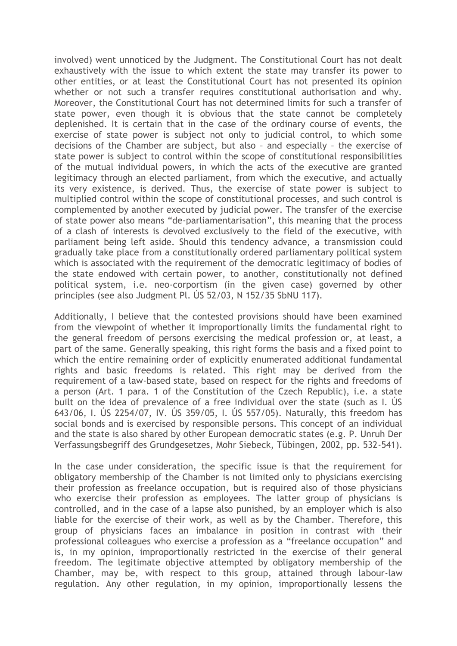involved) went unnoticed by the Judgment. The Constitutional Court has not dealt exhaustively with the issue to which extent the state may transfer its power to other entities, or at least the Constitutional Court has not presented its opinion whether or not such a transfer requires constitutional authorisation and why. Moreover, the Constitutional Court has not determined limits for such a transfer of state power, even though it is obvious that the state cannot be completely deplenished. It is certain that in the case of the ordinary course of events, the exercise of state power is subject not only to judicial control, to which some decisions of the Chamber are subject, but also – and especially – the exercise of state power is subject to control within the scope of constitutional responsibilities of the mutual individual powers, in which the acts of the executive are granted legitimacy through an elected parliament, from which the executive, and actually its very existence, is derived. Thus, the exercise of state power is subject to multiplied control within the scope of constitutional processes, and such control is complemented by another executed by judicial power. The transfer of the exercise of state power also means "de-parliamentarisation", this meaning that the process of a clash of interests is devolved exclusively to the field of the executive, with parliament being left aside. Should this tendency advance, a transmission could gradually take place from a constitutionally ordered parliamentary political system which is associated with the requirement of the democratic legitimacy of bodies of the state endowed with certain power, to another, constitutionally not defined political system, i.e. neo-corportism (in the given case) governed by other principles (see also Judgment Pl. ÚS 52/03, N 152/35 SbNU 117).

Additionally, I believe that the contested provisions should have been examined from the viewpoint of whether it improportionally limits the fundamental right to the general freedom of persons exercising the medical profession or, at least, a part of the same. Generally speaking, this right forms the basis and a fixed point to which the entire remaining order of explicitly enumerated additional fundamental rights and basic freedoms is related. This right may be derived from the requirement of a law-based state, based on respect for the rights and freedoms of a person (Art. 1 para. 1 of the Constitution of the Czech Republic), i.e. a state built on the idea of prevalence of a free individual over the state (such as I. ÚS 643/06, I. ÚS 2254/07, IV. ÚS 359/05, I. ÚS 557/05). Naturally, this freedom has social bonds and is exercised by responsible persons. This concept of an individual and the state is also shared by other European democratic states (e.g. P. Unruh Der Verfassungsbegriff des Grundgesetzes, Mohr Siebeck, Tübingen, 2002, pp. 532-541).

In the case under consideration, the specific issue is that the requirement for obligatory membership of the Chamber is not limited only to physicians exercising their profession as freelance occupation, but is required also of those physicians who exercise their profession as employees. The latter group of physicians is controlled, and in the case of a lapse also punished, by an employer which is also liable for the exercise of their work, as well as by the Chamber. Therefore, this group of physicians faces an imbalance in position in contrast with their professional colleagues who exercise a profession as a "freelance occupation" and is, in my opinion, improportionally restricted in the exercise of their general freedom. The legitimate objective attempted by obligatory membership of the Chamber, may be, with respect to this group, attained through labour-law regulation. Any other regulation, in my opinion, improportionally lessens the